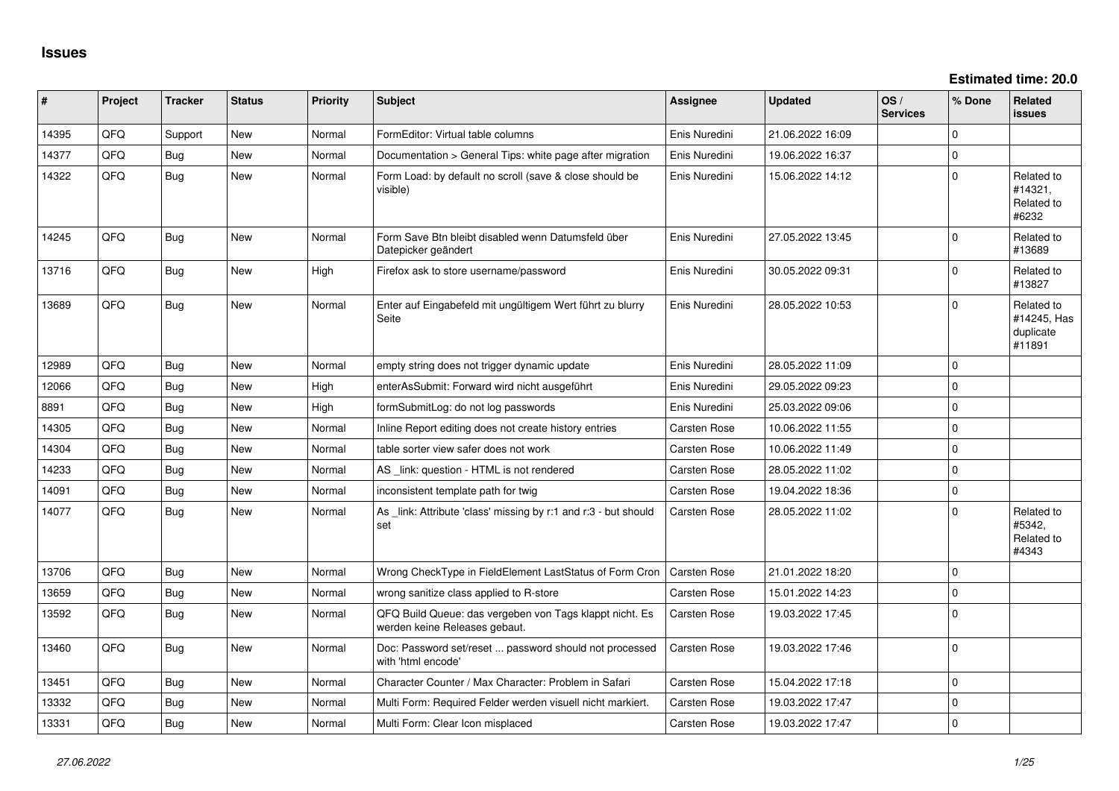**Estimated time: 20.0**

| ∥ #   | Project | <b>Tracker</b> | <b>Status</b> | <b>Priority</b> | <b>Subject</b>                                                                           | Assignee            | <b>Updated</b>   | OS/<br><b>Services</b> | % Done         | Related<br><b>issues</b>                         |
|-------|---------|----------------|---------------|-----------------|------------------------------------------------------------------------------------------|---------------------|------------------|------------------------|----------------|--------------------------------------------------|
| 14395 | QFQ     | Support        | <b>New</b>    | Normal          | FormEditor: Virtual table columns                                                        | Enis Nuredini       | 21.06.2022 16:09 |                        | $\Omega$       |                                                  |
| 14377 | QFQ     | Bug            | <b>New</b>    | Normal          | Documentation > General Tips: white page after migration                                 | Enis Nuredini       | 19.06.2022 16:37 |                        | $\mathbf 0$    |                                                  |
| 14322 | QFQ     | Bug            | New           | Normal          | Form Load: by default no scroll (save & close should be<br>visible)                      | Enis Nuredini       | 15.06.2022 14:12 |                        | $\Omega$       | Related to<br>#14321.<br>Related to<br>#6232     |
| 14245 | QFQ     | Bug            | <b>New</b>    | Normal          | Form Save Btn bleibt disabled wenn Datumsfeld über<br>Datepicker geändert                | Enis Nuredini       | 27.05.2022 13:45 |                        | $\Omega$       | Related to<br>#13689                             |
| 13716 | QFQ     | Bug            | New           | High            | Firefox ask to store username/password                                                   | Enis Nuredini       | 30.05.2022 09:31 |                        | $\Omega$       | Related to<br>#13827                             |
| 13689 | QFQ     | Bug            | New           | Normal          | Enter auf Eingabefeld mit ungültigem Wert führt zu blurry<br>Seite                       | Enis Nuredini       | 28.05.2022 10:53 |                        | $\Omega$       | Related to<br>#14245, Has<br>duplicate<br>#11891 |
| 12989 | QFQ     | Bug            | <b>New</b>    | Normal          | empty string does not trigger dynamic update                                             | Enis Nuredini       | 28.05.2022 11:09 |                        | $\Omega$       |                                                  |
| 12066 | QFQ     | Bug            | <b>New</b>    | High            | enterAsSubmit: Forward wird nicht ausgeführt                                             | Enis Nuredini       | 29.05.2022 09:23 |                        | $\overline{0}$ |                                                  |
| 8891  | QFQ     | Bug            | <b>New</b>    | High            | formSubmitLog: do not log passwords                                                      | Enis Nuredini       | 25.03.2022 09:06 |                        | $\overline{0}$ |                                                  |
| 14305 | QFQ     | Bug            | New           | Normal          | Inline Report editing does not create history entries                                    | Carsten Rose        | 10.06.2022 11:55 |                        | $\Omega$       |                                                  |
| 14304 | QFQ     | Bug            | New           | Normal          | table sorter view safer does not work                                                    | <b>Carsten Rose</b> | 10.06.2022 11:49 |                        | $\mathbf 0$    |                                                  |
| 14233 | QFQ     | <b>Bug</b>     | <b>New</b>    | Normal          | AS _link: question - HTML is not rendered                                                | <b>Carsten Rose</b> | 28.05.2022 11:02 |                        | $\Omega$       |                                                  |
| 14091 | QFQ     | <b>Bug</b>     | New           | Normal          | inconsistent template path for twig                                                      | <b>Carsten Rose</b> | 19.04.2022 18:36 |                        | $\mathbf 0$    |                                                  |
| 14077 | QFQ     | Bug            | New           | Normal          | As _link: Attribute 'class' missing by r:1 and r:3 - but should<br>set                   | <b>Carsten Rose</b> | 28.05.2022 11:02 |                        | $\Omega$       | Related to<br>#5342,<br>Related to<br>#4343      |
| 13706 | QFQ     | Bug            | New           | Normal          | Wrong CheckType in FieldElement LastStatus of Form Cron                                  | Carsten Rose        | 21.01.2022 18:20 |                        | $\Omega$       |                                                  |
| 13659 | QFQ     | Bug            | New           | Normal          | wrong sanitize class applied to R-store                                                  | <b>Carsten Rose</b> | 15.01.2022 14:23 |                        | $\Omega$       |                                                  |
| 13592 | QFQ     | Bug            | <b>New</b>    | Normal          | QFQ Build Queue: das vergeben von Tags klappt nicht. Es<br>werden keine Releases gebaut. | <b>Carsten Rose</b> | 19.03.2022 17:45 |                        | $\overline{0}$ |                                                  |
| 13460 | QFQ     | Bug            | <b>New</b>    | Normal          | Doc: Password set/reset  password should not processed<br>with 'html encode'             | Carsten Rose        | 19.03.2022 17:46 |                        | $\overline{0}$ |                                                  |
| 13451 | QFQ     | Bug            | <b>New</b>    | Normal          | Character Counter / Max Character: Problem in Safari                                     | <b>Carsten Rose</b> | 15.04.2022 17:18 |                        | $\Omega$       |                                                  |
| 13332 | QFQ     | Bug            | New           | Normal          | Multi Form: Required Felder werden visuell nicht markiert.                               | <b>Carsten Rose</b> | 19.03.2022 17:47 |                        | $\Omega$       |                                                  |
| 13331 | QFQ     | Bug            | <b>New</b>    | Normal          | Multi Form: Clear Icon misplaced                                                         | <b>Carsten Rose</b> | 19.03.2022 17:47 |                        | $\Omega$       |                                                  |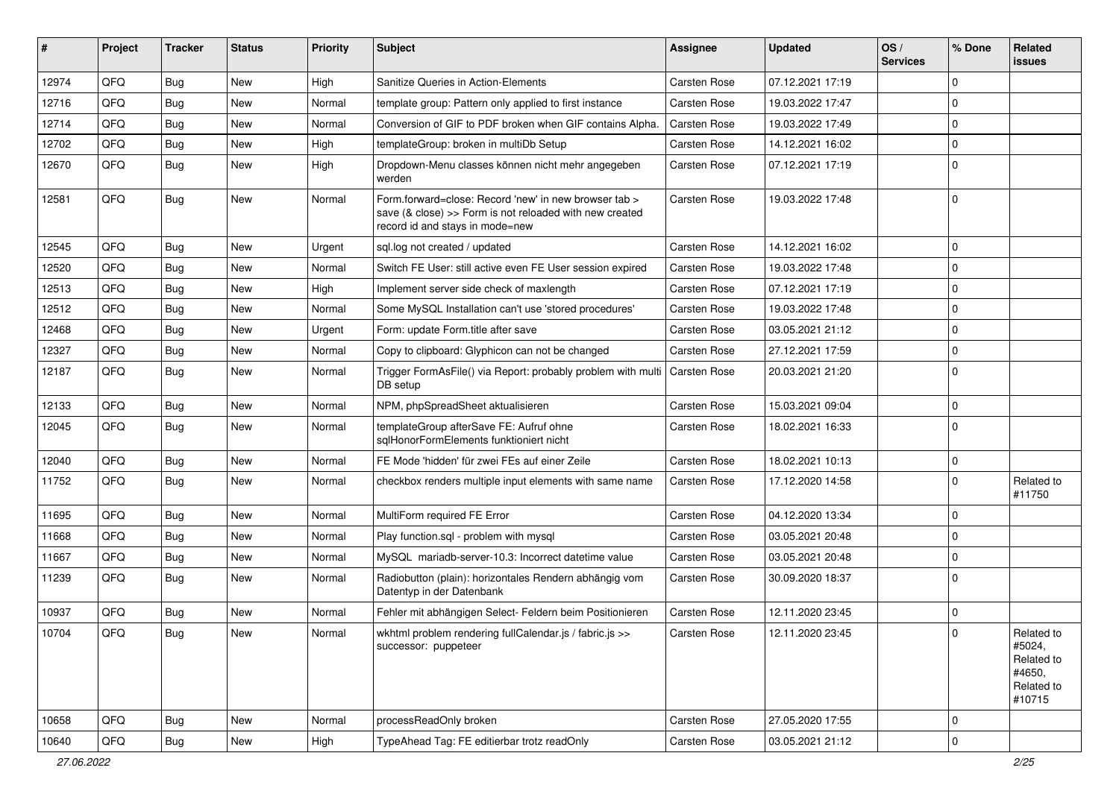| ∥ #   | Project | <b>Tracker</b> | <b>Status</b> | <b>Priority</b> | Subject                                                                                                                                             | Assignee     | <b>Updated</b>   | OS/<br><b>Services</b> | % Done      | Related<br><b>issues</b>                                             |
|-------|---------|----------------|---------------|-----------------|-----------------------------------------------------------------------------------------------------------------------------------------------------|--------------|------------------|------------------------|-------------|----------------------------------------------------------------------|
| 12974 | QFQ     | Bug            | New           | High            | Sanitize Queries in Action-Elements                                                                                                                 | Carsten Rose | 07.12.2021 17:19 |                        | $\mathbf 0$ |                                                                      |
| 12716 | QFQ     | Bug            | New           | Normal          | template group: Pattern only applied to first instance                                                                                              | Carsten Rose | 19.03.2022 17:47 |                        | $\mathbf 0$ |                                                                      |
| 12714 | QFQ     | Bug            | New           | Normal          | Conversion of GIF to PDF broken when GIF contains Alpha.                                                                                            | Carsten Rose | 19.03.2022 17:49 |                        | $\mathbf 0$ |                                                                      |
| 12702 | QFQ     | Bug            | New           | High            | templateGroup: broken in multiDb Setup                                                                                                              | Carsten Rose | 14.12.2021 16:02 |                        | $\mathbf 0$ |                                                                      |
| 12670 | QFQ     | Bug            | New           | High            | Dropdown-Menu classes können nicht mehr angegeben<br>werden                                                                                         | Carsten Rose | 07.12.2021 17:19 |                        | $\Omega$    |                                                                      |
| 12581 | QFQ     | Bug            | New           | Normal          | Form.forward=close: Record 'new' in new browser tab ><br>save (& close) >> Form is not reloaded with new created<br>record id and stays in mode=new | Carsten Rose | 19.03.2022 17:48 |                        | $\mathbf 0$ |                                                                      |
| 12545 | QFQ     | <b>Bug</b>     | New           | Urgent          | sql.log not created / updated                                                                                                                       | Carsten Rose | 14.12.2021 16:02 |                        | $\Omega$    |                                                                      |
| 12520 | QFQ     | Bug            | New           | Normal          | Switch FE User: still active even FE User session expired                                                                                           | Carsten Rose | 19.03.2022 17:48 |                        | $\Omega$    |                                                                      |
| 12513 | QFQ     | Bug            | New           | High            | Implement server side check of maxlength                                                                                                            | Carsten Rose | 07.12.2021 17:19 |                        | $\Omega$    |                                                                      |
| 12512 | QFQ     | Bug            | New           | Normal          | Some MySQL Installation can't use 'stored procedures'                                                                                               | Carsten Rose | 19.03.2022 17:48 |                        | $\mathbf 0$ |                                                                      |
| 12468 | QFQ     | Bug            | New           | Urgent          | Form: update Form.title after save                                                                                                                  | Carsten Rose | 03.05.2021 21:12 |                        | $\Omega$    |                                                                      |
| 12327 | QFQ     | Bug            | New           | Normal          | Copy to clipboard: Glyphicon can not be changed                                                                                                     | Carsten Rose | 27.12.2021 17:59 |                        | $\mathbf 0$ |                                                                      |
| 12187 | QFQ     | Bug            | New           | Normal          | Trigger FormAsFile() via Report: probably problem with multi<br>DB setup                                                                            | Carsten Rose | 20.03.2021 21:20 |                        | $\Omega$    |                                                                      |
| 12133 | QFQ     | Bug            | New           | Normal          | NPM, phpSpreadSheet aktualisieren                                                                                                                   | Carsten Rose | 15.03.2021 09:04 |                        | $\mathbf 0$ |                                                                      |
| 12045 | QFQ     | Bug            | New           | Normal          | templateGroup afterSave FE: Aufruf ohne<br>sqlHonorFormElements funktioniert nicht                                                                  | Carsten Rose | 18.02.2021 16:33 |                        | $\Omega$    |                                                                      |
| 12040 | QFQ     | Bug            | New           | Normal          | FE Mode 'hidden' für zwei FEs auf einer Zeile                                                                                                       | Carsten Rose | 18.02.2021 10:13 |                        | $\mathbf 0$ |                                                                      |
| 11752 | QFQ     | Bug            | New           | Normal          | checkbox renders multiple input elements with same name                                                                                             | Carsten Rose | 17.12.2020 14:58 |                        | $\mathbf 0$ | Related to<br>#11750                                                 |
| 11695 | QFQ     | Bug            | New           | Normal          | MultiForm required FE Error                                                                                                                         | Carsten Rose | 04.12.2020 13:34 |                        | $\Omega$    |                                                                      |
| 11668 | QFQ     | Bug            | New           | Normal          | Play function.sql - problem with mysql                                                                                                              | Carsten Rose | 03.05.2021 20:48 |                        | $\Omega$    |                                                                      |
| 11667 | QFQ     | Bug            | New           | Normal          | MySQL mariadb-server-10.3: Incorrect datetime value                                                                                                 | Carsten Rose | 03.05.2021 20:48 |                        | $\mathbf 0$ |                                                                      |
| 11239 | QFQ     | Bug            | New           | Normal          | Radiobutton (plain): horizontales Rendern abhängig vom<br>Datentyp in der Datenbank                                                                 | Carsten Rose | 30.09.2020 18:37 |                        | $\Omega$    |                                                                      |
| 10937 | QFQ     | Bug            | New           | Normal          | Fehler mit abhängigen Select- Feldern beim Positionieren                                                                                            | Carsten Rose | 12.11.2020 23:45 |                        | $\mathbf 0$ |                                                                      |
| 10704 | QFQ     | Bug            | New           | Normal          | wkhtml problem rendering fullCalendar.js / fabric.js >><br>successor: puppeteer                                                                     | Carsten Rose | 12.11.2020 23:45 |                        | $\pmb{0}$   | Related to<br>#5024,<br>Related to<br>#4650,<br>Related to<br>#10715 |
| 10658 | QFQ     | <b>Bug</b>     | New           | Normal          | processReadOnly broken                                                                                                                              | Carsten Rose | 27.05.2020 17:55 |                        | 0           |                                                                      |
| 10640 | QFQ     | <b>Bug</b>     | New           | High            | TypeAhead Tag: FE editierbar trotz readOnly                                                                                                         | Carsten Rose | 03.05.2021 21:12 |                        | $\pmb{0}$   |                                                                      |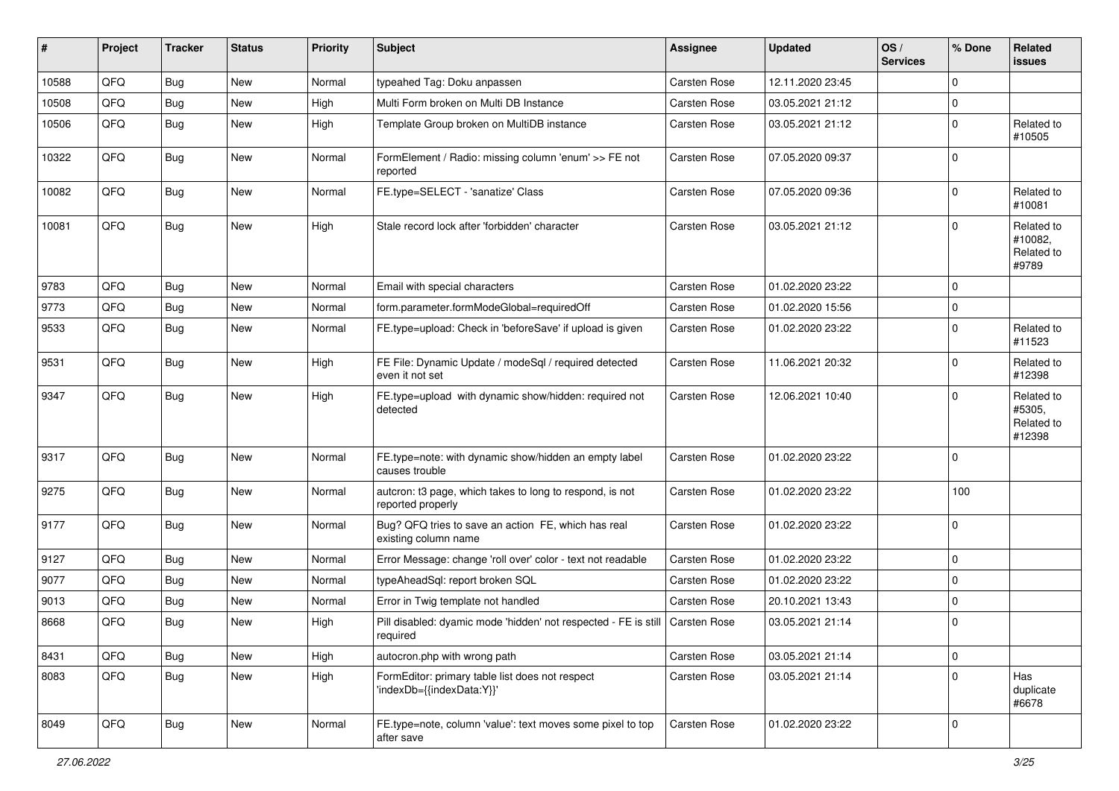| #     | Project | <b>Tracker</b> | <b>Status</b> | <b>Priority</b> | <b>Subject</b>                                                                             | <b>Assignee</b>     | <b>Updated</b>   | OS/<br><b>Services</b> | % Done      | <b>Related</b><br><b>issues</b>              |
|-------|---------|----------------|---------------|-----------------|--------------------------------------------------------------------------------------------|---------------------|------------------|------------------------|-------------|----------------------------------------------|
| 10588 | QFQ     | Bug            | New           | Normal          | typeahed Tag: Doku anpassen                                                                | Carsten Rose        | 12.11.2020 23:45 |                        | $\mathbf 0$ |                                              |
| 10508 | QFQ     | Bug            | New           | High            | Multi Form broken on Multi DB Instance                                                     | Carsten Rose        | 03.05.2021 21:12 |                        | $\pmb{0}$   |                                              |
| 10506 | QFQ     | Bug            | New           | High            | Template Group broken on MultiDB instance                                                  | Carsten Rose        | 03.05.2021 21:12 |                        | $\mathbf 0$ | Related to<br>#10505                         |
| 10322 | QFQ     | Bug            | New           | Normal          | FormElement / Radio: missing column 'enum' >> FE not<br>reported                           | Carsten Rose        | 07.05.2020 09:37 |                        | $\mathbf 0$ |                                              |
| 10082 | QFQ     | <b>Bug</b>     | New           | Normal          | FE.type=SELECT - 'sanatize' Class                                                          | Carsten Rose        | 07.05.2020 09:36 |                        | $\mathbf 0$ | Related to<br>#10081                         |
| 10081 | QFQ     | Bug            | New           | High            | Stale record lock after 'forbidden' character                                              | Carsten Rose        | 03.05.2021 21:12 |                        | $\mathbf 0$ | Related to<br>#10082,<br>Related to<br>#9789 |
| 9783  | QFQ     | Bug            | New           | Normal          | Email with special characters                                                              | <b>Carsten Rose</b> | 01.02.2020 23:22 |                        | $\mathbf 0$ |                                              |
| 9773  | QFQ     | Bug            | New           | Normal          | form.parameter.formModeGlobal=requiredOff                                                  | Carsten Rose        | 01.02.2020 15:56 |                        | $\pmb{0}$   |                                              |
| 9533  | QFQ     | Bug            | New           | Normal          | FE.type=upload: Check in 'beforeSave' if upload is given                                   | Carsten Rose        | 01.02.2020 23:22 |                        | $\mathbf 0$ | Related to<br>#11523                         |
| 9531  | QFQ     | <b>Bug</b>     | New           | High            | FE File: Dynamic Update / modeSql / required detected<br>even it not set                   | Carsten Rose        | 11.06.2021 20:32 |                        | $\mathbf 0$ | Related to<br>#12398                         |
| 9347  | QFQ     | <b>Bug</b>     | New           | High            | FE.type=upload with dynamic show/hidden: required not<br>detected                          | Carsten Rose        | 12.06.2021 10:40 |                        | $\Omega$    | Related to<br>#5305,<br>Related to<br>#12398 |
| 9317  | QFQ     | Bug            | New           | Normal          | FE.type=note: with dynamic show/hidden an empty label<br>causes trouble                    | <b>Carsten Rose</b> | 01.02.2020 23:22 |                        | $\mathbf 0$ |                                              |
| 9275  | QFQ     | Bug            | New           | Normal          | autcron: t3 page, which takes to long to respond, is not<br>reported properly              | Carsten Rose        | 01.02.2020 23:22 |                        | 100         |                                              |
| 9177  | QFQ     | <b>Bug</b>     | New           | Normal          | Bug? QFQ tries to save an action FE, which has real<br>existing column name                | Carsten Rose        | 01.02.2020 23:22 |                        | $\pmb{0}$   |                                              |
| 9127  | QFQ     | Bug            | <b>New</b>    | Normal          | Error Message: change 'roll over' color - text not readable                                | <b>Carsten Rose</b> | 01.02.2020 23:22 |                        | $\mathbf 0$ |                                              |
| 9077  | QFQ     | Bug            | New           | Normal          | typeAheadSql: report broken SQL                                                            | Carsten Rose        | 01.02.2020 23:22 |                        | $\pmb{0}$   |                                              |
| 9013  | QFQ     | Bug            | New           | Normal          | Error in Twig template not handled                                                         | <b>Carsten Rose</b> | 20.10.2021 13:43 |                        | $\pmb{0}$   |                                              |
| 8668  | QFQ     | <b>Bug</b>     | New           | High            | Pill disabled: dyamic mode 'hidden' not respected - FE is still   Carsten Rose<br>required |                     | 03.05.2021 21:14 |                        | 0           |                                              |
| 8431  | QFQ     | Bug            | New           | High            | autocron.php with wrong path                                                               | Carsten Rose        | 03.05.2021 21:14 |                        | $\pmb{0}$   |                                              |
| 8083  | QFQ     | <b>Bug</b>     | New           | High            | FormEditor: primary table list does not respect<br>'indexDb={{indexData:Y}}'               | Carsten Rose        | 03.05.2021 21:14 |                        | $\mathbf 0$ | Has<br>duplicate<br>#6678                    |
| 8049  | QFQ     | Bug            | New           | Normal          | FE.type=note, column 'value': text moves some pixel to top<br>after save                   | Carsten Rose        | 01.02.2020 23:22 |                        | $\pmb{0}$   |                                              |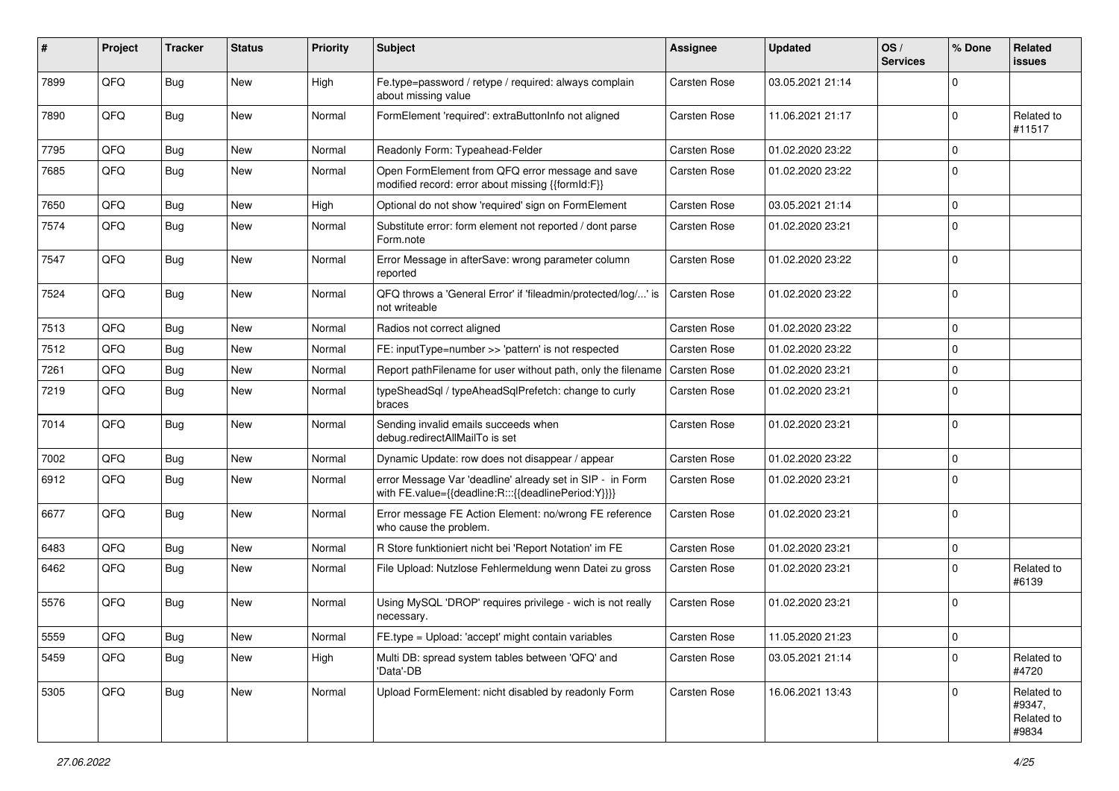| #    | Project | <b>Tracker</b> | <b>Status</b> | <b>Priority</b> | Subject                                                                                                          | <b>Assignee</b>     | <b>Updated</b>   | OS/<br><b>Services</b> | % Done      | <b>Related</b><br><b>issues</b>             |
|------|---------|----------------|---------------|-----------------|------------------------------------------------------------------------------------------------------------------|---------------------|------------------|------------------------|-------------|---------------------------------------------|
| 7899 | QFQ     | Bug            | New           | High            | Fe.type=password / retype / required: always complain<br>about missing value                                     | Carsten Rose        | 03.05.2021 21:14 |                        | $\mathbf 0$ |                                             |
| 7890 | QFQ     | <b>Bug</b>     | New           | Normal          | FormElement 'required': extraButtonInfo not aligned                                                              | Carsten Rose        | 11.06.2021 21:17 |                        | $\mathbf 0$ | Related to<br>#11517                        |
| 7795 | QFQ     | Bug            | New           | Normal          | Readonly Form: Typeahead-Felder                                                                                  | Carsten Rose        | 01.02.2020 23:22 |                        | $\mathbf 0$ |                                             |
| 7685 | QFQ     | <b>Bug</b>     | New           | Normal          | Open FormElement from QFQ error message and save<br>modified record: error about missing {{formId:F}}            | Carsten Rose        | 01.02.2020 23:22 |                        | $\mathbf 0$ |                                             |
| 7650 | QFQ     | Bug            | New           | High            | Optional do not show 'required' sign on FormElement                                                              | Carsten Rose        | 03.05.2021 21:14 |                        | $\mathbf 0$ |                                             |
| 7574 | QFQ     | Bug            | <b>New</b>    | Normal          | Substitute error: form element not reported / dont parse<br>Form.note                                            | Carsten Rose        | 01.02.2020 23:21 |                        | $\mathbf 0$ |                                             |
| 7547 | QFQ     | Bug            | New           | Normal          | Error Message in afterSave: wrong parameter column<br>reported                                                   | Carsten Rose        | 01.02.2020 23:22 |                        | $\mathbf 0$ |                                             |
| 7524 | QFQ     | Bug            | New           | Normal          | QFQ throws a 'General Error' if 'fileadmin/protected/log/' is<br>not writeable                                   | Carsten Rose        | 01.02.2020 23:22 |                        | $\mathbf 0$ |                                             |
| 7513 | QFQ     | Bug            | <b>New</b>    | Normal          | Radios not correct aligned                                                                                       | Carsten Rose        | 01.02.2020 23:22 |                        | $\mathbf 0$ |                                             |
| 7512 | QFQ     | Bug            | New           | Normal          | FE: inputType=number >> 'pattern' is not respected                                                               | Carsten Rose        | 01.02.2020 23:22 |                        | $\mathbf 0$ |                                             |
| 7261 | QFQ     | <b>Bug</b>     | New           | Normal          | Report pathFilename for user without path, only the filename                                                     | <b>Carsten Rose</b> | 01.02.2020 23:21 |                        | $\mathbf 0$ |                                             |
| 7219 | QFQ     | <b>Bug</b>     | New           | Normal          | typeSheadSql / typeAheadSqlPrefetch: change to curly<br>braces                                                   | Carsten Rose        | 01.02.2020 23:21 |                        | $\mathbf 0$ |                                             |
| 7014 | QFQ     | Bug            | New           | Normal          | Sending invalid emails succeeds when<br>debug.redirectAllMailTo is set                                           | Carsten Rose        | 01.02.2020 23:21 |                        | $\mathbf 0$ |                                             |
| 7002 | QFQ     | Bug            | New           | Normal          | Dynamic Update: row does not disappear / appear                                                                  | Carsten Rose        | 01.02.2020 23:22 |                        | $\mathbf 0$ |                                             |
| 6912 | QFQ     | <b>Bug</b>     | New           | Normal          | error Message Var 'deadline' already set in SIP - in Form<br>with FE.value={{deadline:R:::{{deadlinePeriod:Y}}}} | Carsten Rose        | 01.02.2020 23:21 |                        | $\mathbf 0$ |                                             |
| 6677 | QFQ     | <b>Bug</b>     | New           | Normal          | Error message FE Action Element: no/wrong FE reference<br>who cause the problem.                                 | Carsten Rose        | 01.02.2020 23:21 |                        | $\mathbf 0$ |                                             |
| 6483 | QFQ     | Bug            | New           | Normal          | R Store funktioniert nicht bei 'Report Notation' im FE                                                           | Carsten Rose        | 01.02.2020 23:21 |                        | $\mathbf 0$ |                                             |
| 6462 | QFQ     | <b>Bug</b>     | New           | Normal          | File Upload: Nutzlose Fehlermeldung wenn Datei zu gross                                                          | Carsten Rose        | 01.02.2020 23:21 |                        | $\mathbf 0$ | Related to<br>#6139                         |
| 5576 | QFQ     | Bug            | New           | Normal          | Using MySQL 'DROP' requires privilege - wich is not really<br>necessary.                                         | Carsten Rose        | 01.02.2020 23:21 |                        | $\mathbf 0$ |                                             |
| 5559 | QFQ     | Bug            | New           | Normal          | FE.type = Upload: 'accept' might contain variables                                                               | Carsten Rose        | 11.05.2020 21:23 |                        | 0           |                                             |
| 5459 | QFQ     | Bug            | New           | High            | Multi DB: spread system tables between 'QFQ' and<br>'Data'-DB                                                    | Carsten Rose        | 03.05.2021 21:14 |                        | $\mathbf 0$ | Related to<br>#4720                         |
| 5305 | QFQ     | Bug            | New           | Normal          | Upload FormElement: nicht disabled by readonly Form                                                              | Carsten Rose        | 16.06.2021 13:43 |                        | $\mathbf 0$ | Related to<br>#9347,<br>Related to<br>#9834 |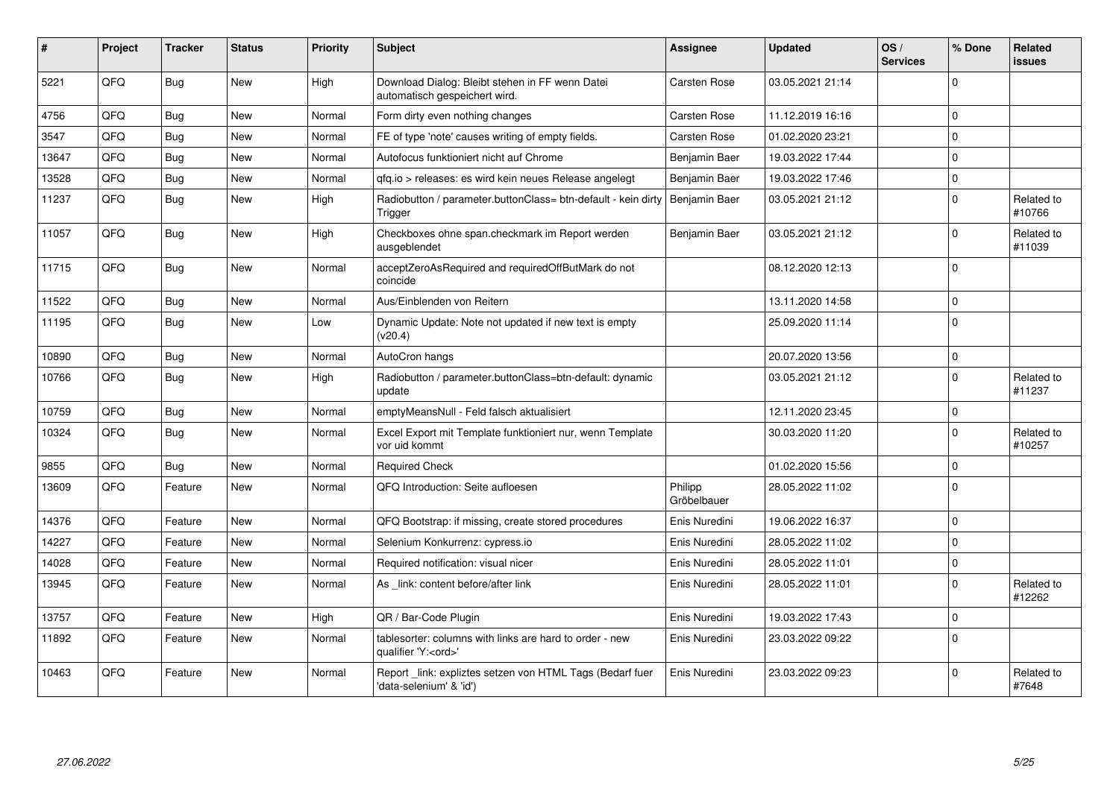| #     | Project | <b>Tracker</b> | <b>Status</b> | <b>Priority</b> | <b>Subject</b>                                                                        | Assignee               | <b>Updated</b>   | OS/<br><b>Services</b> | % Done      | Related<br><b>issues</b> |
|-------|---------|----------------|---------------|-----------------|---------------------------------------------------------------------------------------|------------------------|------------------|------------------------|-------------|--------------------------|
| 5221  | QFQ     | <b>Bug</b>     | New           | High            | Download Dialog: Bleibt stehen in FF wenn Datei<br>automatisch gespeichert wird.      | Carsten Rose           | 03.05.2021 21:14 |                        | $\Omega$    |                          |
| 4756  | QFQ     | <b>Bug</b>     | New           | Normal          | Form dirty even nothing changes                                                       | Carsten Rose           | 11.12.2019 16:16 |                        | $\Omega$    |                          |
| 3547  | QFQ     | <b>Bug</b>     | New           | Normal          | FE of type 'note' causes writing of empty fields.                                     | Carsten Rose           | 01.02.2020 23:21 |                        | $\mathbf 0$ |                          |
| 13647 | QFQ     | <b>Bug</b>     | New           | Normal          | Autofocus funktioniert nicht auf Chrome                                               | Benjamin Baer          | 19.03.2022 17:44 |                        | $\Omega$    |                          |
| 13528 | QFQ     | <b>Bug</b>     | New           | Normal          | gfg.io > releases: es wird kein neues Release angelegt                                | Benjamin Baer          | 19.03.2022 17:46 |                        | $\pmb{0}$   |                          |
| 11237 | QFQ     | <b>Bug</b>     | New           | High            | Radiobutton / parameter.buttonClass= btn-default - kein dirty<br>Trigger              | Benjamin Baer          | 03.05.2021 21:12 |                        | $\pmb{0}$   | Related to<br>#10766     |
| 11057 | QFQ     | <b>Bug</b>     | New           | High            | Checkboxes ohne span.checkmark im Report werden<br>ausgeblendet                       | Benjamin Baer          | 03.05.2021 21:12 |                        | $\mathbf 0$ | Related to<br>#11039     |
| 11715 | QFQ     | <b>Bug</b>     | New           | Normal          | acceptZeroAsRequired and requiredOffButMark do not<br>coincide                        |                        | 08.12.2020 12:13 |                        | $\Omega$    |                          |
| 11522 | QFQ     | Bug            | <b>New</b>    | Normal          | Aus/Einblenden von Reitern                                                            |                        | 13.11.2020 14:58 |                        | $\mathbf 0$ |                          |
| 11195 | QFQ     | Bug            | New           | Low             | Dynamic Update: Note not updated if new text is empty<br>(v20.4)                      |                        | 25.09.2020 11:14 |                        | $\mathbf 0$ |                          |
| 10890 | QFQ     | <b>Bug</b>     | New           | Normal          | AutoCron hangs                                                                        |                        | 20.07.2020 13:56 |                        | $\mathbf 0$ |                          |
| 10766 | QFQ     | Bug            | <b>New</b>    | High            | Radiobutton / parameter.buttonClass=btn-default: dynamic<br>update                    |                        | 03.05.2021 21:12 |                        | $\mathbf 0$ | Related to<br>#11237     |
| 10759 | QFQ     | <b>Bug</b>     | New           | Normal          | emptyMeansNull - Feld falsch aktualisiert                                             |                        | 12.11.2020 23:45 |                        | $\pmb{0}$   |                          |
| 10324 | QFQ     | Bug            | New           | Normal          | Excel Export mit Template funktioniert nur, wenn Template<br>vor uid kommt            |                        | 30.03.2020 11:20 |                        | $\mathbf 0$ | Related to<br>#10257     |
| 9855  | QFQ     | <b>Bug</b>     | New           | Normal          | <b>Required Check</b>                                                                 |                        | 01.02.2020 15:56 |                        | $\mathbf 0$ |                          |
| 13609 | QFQ     | Feature        | New           | Normal          | QFQ Introduction: Seite aufloesen                                                     | Philipp<br>Gröbelbauer | 28.05.2022 11:02 |                        | $\mathbf 0$ |                          |
| 14376 | QFQ     | Feature        | <b>New</b>    | Normal          | QFQ Bootstrap: if missing, create stored procedures                                   | Enis Nuredini          | 19.06.2022 16:37 |                        | $\mathbf 0$ |                          |
| 14227 | QFQ     | Feature        | New           | Normal          | Selenium Konkurrenz: cypress.io                                                       | Enis Nuredini          | 28.05.2022 11:02 |                        | $\Omega$    |                          |
| 14028 | QFQ     | Feature        | New           | Normal          | Required notification: visual nicer                                                   | Enis Nuredini          | 28.05.2022 11:01 |                        | $\mathbf 0$ |                          |
| 13945 | QFQ     | Feature        | New           | Normal          | As _link: content before/after link                                                   | Enis Nuredini          | 28.05.2022 11:01 |                        | $\mathbf 0$ | Related to<br>#12262     |
| 13757 | QFQ     | Feature        | New           | High            | QR / Bar-Code Plugin                                                                  | Enis Nuredini          | 19.03.2022 17:43 |                        | $\mathbf 0$ |                          |
| 11892 | QFQ     | Feature        | New           | Normal          | tablesorter: columns with links are hard to order - new<br>qualifier 'Y: <ord>'</ord> | Enis Nuredini          | 23.03.2022 09:22 |                        | $\Omega$    |                          |
| 10463 | QFQ     | Feature        | New           | Normal          | Report_link: expliztes setzen von HTML Tags (Bedarf fuer<br>'data-selenium' & 'id')   | Enis Nuredini          | 23.03.2022 09:23 |                        | $\Omega$    | Related to<br>#7648      |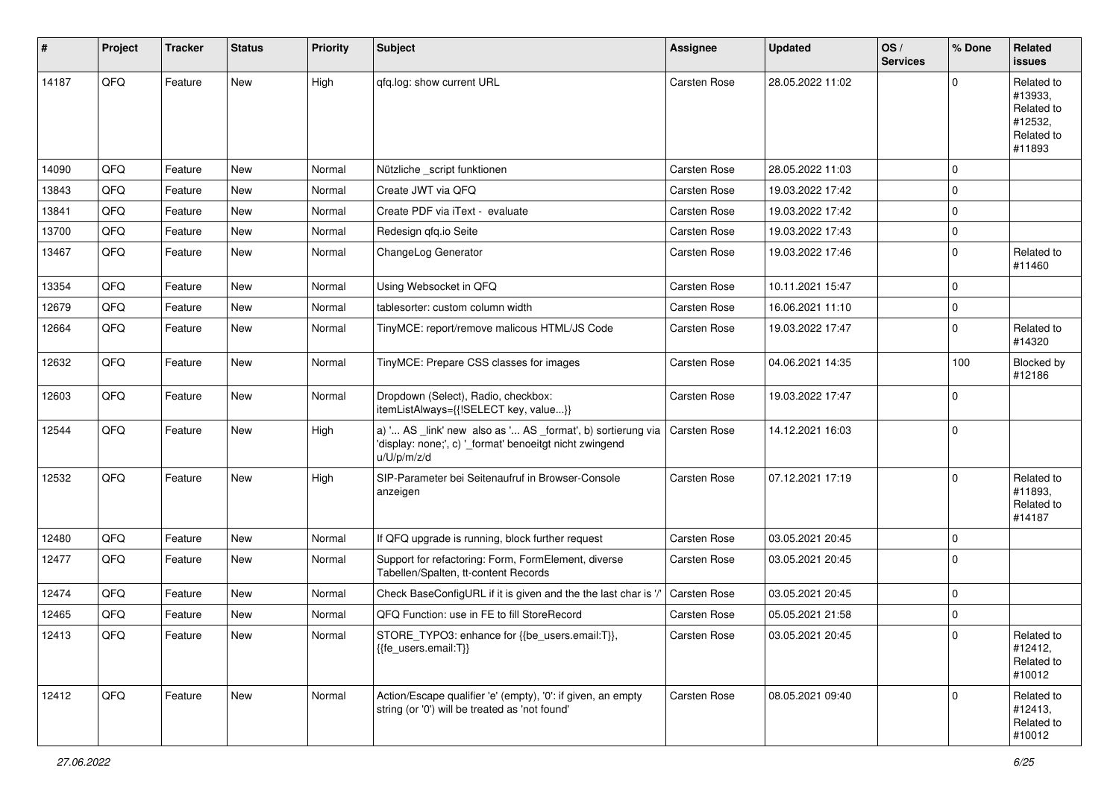| #     | Project | <b>Tracker</b> | <b>Status</b> | <b>Priority</b> | <b>Subject</b>                                                                                                                        | Assignee            | <b>Updated</b>   | OS/<br><b>Services</b> | % Done      | Related<br><b>issues</b>                                               |
|-------|---------|----------------|---------------|-----------------|---------------------------------------------------------------------------------------------------------------------------------------|---------------------|------------------|------------------------|-------------|------------------------------------------------------------------------|
| 14187 | QFQ     | Feature        | New           | High            | qfq.log: show current URL                                                                                                             | Carsten Rose        | 28.05.2022 11:02 |                        | $\Omega$    | Related to<br>#13933,<br>Related to<br>#12532,<br>Related to<br>#11893 |
| 14090 | QFQ     | Feature        | New           | Normal          | Nützliche _script funktionen                                                                                                          | <b>Carsten Rose</b> | 28.05.2022 11:03 |                        | $\mathbf 0$ |                                                                        |
| 13843 | QFQ     | Feature        | New           | Normal          | Create JWT via QFQ                                                                                                                    | <b>Carsten Rose</b> | 19.03.2022 17:42 |                        | $\mathbf 0$ |                                                                        |
| 13841 | QFQ     | Feature        | New           | Normal          | Create PDF via iText - evaluate                                                                                                       | Carsten Rose        | 19.03.2022 17:42 |                        | $\Omega$    |                                                                        |
| 13700 | QFQ     | Feature        | New           | Normal          | Redesign gfg.io Seite                                                                                                                 | Carsten Rose        | 19.03.2022 17:43 |                        | $\mathbf 0$ |                                                                        |
| 13467 | QFQ     | Feature        | New           | Normal          | ChangeLog Generator                                                                                                                   | Carsten Rose        | 19.03.2022 17:46 |                        | $\mathbf 0$ | Related to<br>#11460                                                   |
| 13354 | QFQ     | Feature        | New           | Normal          | Using Websocket in QFQ                                                                                                                | Carsten Rose        | 10.11.2021 15:47 |                        | $\mathbf 0$ |                                                                        |
| 12679 | QFQ     | Feature        | New           | Normal          | tablesorter: custom column width                                                                                                      | Carsten Rose        | 16.06.2021 11:10 |                        | $\mathbf 0$ |                                                                        |
| 12664 | QFQ     | Feature        | New           | Normal          | TinyMCE: report/remove malicous HTML/JS Code                                                                                          | Carsten Rose        | 19.03.2022 17:47 |                        | $\mathbf 0$ | Related to<br>#14320                                                   |
| 12632 | QFQ     | Feature        | New           | Normal          | TinyMCE: Prepare CSS classes for images                                                                                               | Carsten Rose        | 04.06.2021 14:35 |                        | 100         | Blocked by<br>#12186                                                   |
| 12603 | QFQ     | Feature        | New           | Normal          | Dropdown (Select), Radio, checkbox:<br>itemListAlways={{!SELECT key, value}}                                                          | Carsten Rose        | 19.03.2022 17:47 |                        | $\mathbf 0$ |                                                                        |
| 12544 | QFQ     | Feature        | New           | High            | a) ' AS _link' new also as ' AS _format', b) sortierung via<br>'display: none;', c) '_format' benoeitgt nicht zwingend<br>u/U/p/m/z/d | Carsten Rose        | 14.12.2021 16:03 |                        | $\mathbf 0$ |                                                                        |
| 12532 | QFQ     | Feature        | New           | High            | SIP-Parameter bei Seitenaufruf in Browser-Console<br>anzeigen                                                                         | Carsten Rose        | 07.12.2021 17:19 |                        | $\Omega$    | Related to<br>#11893,<br>Related to<br>#14187                          |
| 12480 | QFQ     | Feature        | New           | Normal          | If QFQ upgrade is running, block further request                                                                                      | Carsten Rose        | 03.05.2021 20:45 |                        | $\mathbf 0$ |                                                                        |
| 12477 | QFQ     | Feature        | New           | Normal          | Support for refactoring: Form, FormElement, diverse<br>Tabellen/Spalten, tt-content Records                                           | Carsten Rose        | 03.05.2021 20:45 |                        | $\Omega$    |                                                                        |
| 12474 | QFQ     | Feature        | New           | Normal          | Check BaseConfigURL if it is given and the the last char is '/                                                                        | Carsten Rose        | 03.05.2021 20:45 |                        | $\mathbf 0$ |                                                                        |
| 12465 | QFQ     | Feature        | New           | Normal          | QFQ Function: use in FE to fill StoreRecord                                                                                           | Carsten Rose        | 05.05.2021 21:58 |                        | 0           |                                                                        |
| 12413 | QFQ     | Feature        | New           | Normal          | STORE_TYPO3: enhance for {{be_users.email:T}},<br>{{fe users.email:T}}                                                                | <b>Carsten Rose</b> | 03.05.2021 20:45 |                        | $\pmb{0}$   | Related to<br>#12412,<br>Related to<br>#10012                          |
| 12412 | QFQ     | Feature        | New           | Normal          | Action/Escape qualifier 'e' (empty), '0': if given, an empty<br>string (or '0') will be treated as 'not found'                        | Carsten Rose        | 08.05.2021 09:40 |                        | $\mathbf 0$ | Related to<br>#12413,<br>Related to<br>#10012                          |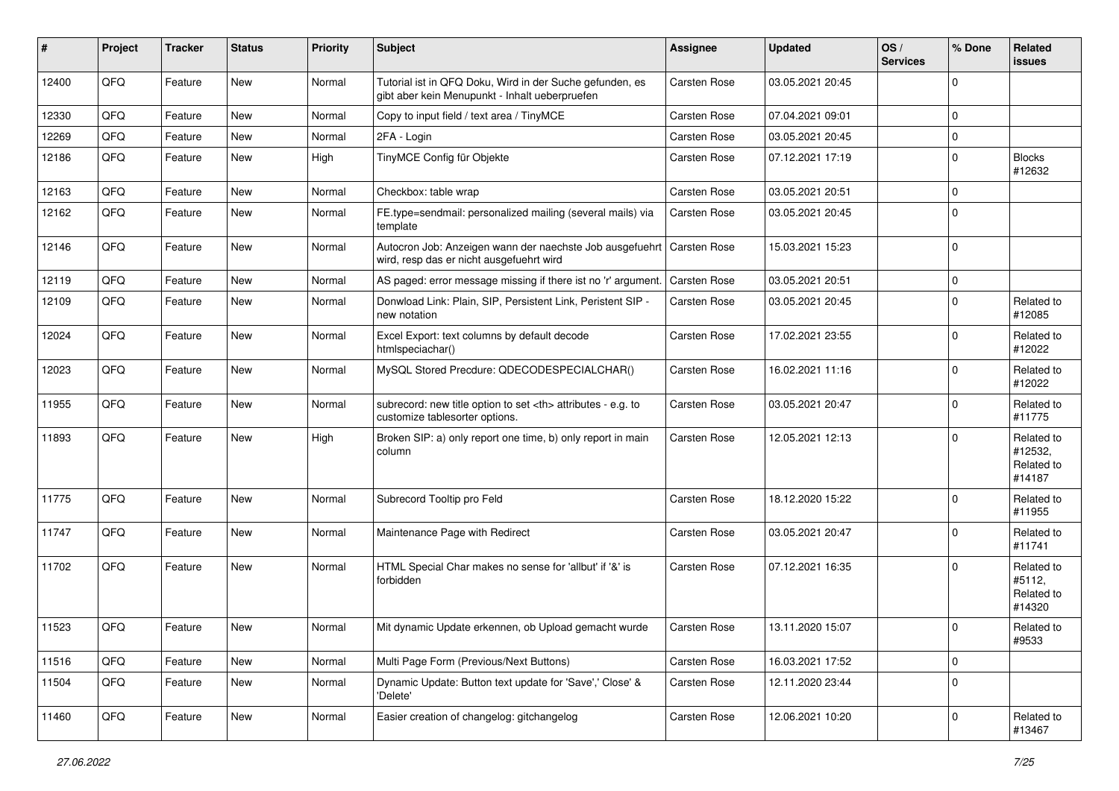| #     | Project | <b>Tracker</b> | <b>Status</b> | <b>Priority</b> | <b>Subject</b>                                                                                             | Assignee                                               | <b>Updated</b>   | OS/<br><b>Services</b> | % Done      | Related<br>issues                             |                      |
|-------|---------|----------------|---------------|-----------------|------------------------------------------------------------------------------------------------------------|--------------------------------------------------------|------------------|------------------------|-------------|-----------------------------------------------|----------------------|
| 12400 | QFQ     | Feature        | New           | Normal          | Tutorial ist in QFQ Doku, Wird in der Suche gefunden, es<br>gibt aber kein Menupunkt - Inhalt ueberpruefen | Carsten Rose                                           | 03.05.2021 20:45 |                        | $\Omega$    |                                               |                      |
| 12330 | QFQ     | Feature        | New           | Normal          | Copy to input field / text area / TinyMCE                                                                  | Carsten Rose                                           | 07.04.2021 09:01 |                        | $\mathbf 0$ |                                               |                      |
| 12269 | QFQ     | Feature        | <b>New</b>    | Normal          | 2FA - Login                                                                                                | Carsten Rose                                           | 03.05.2021 20:45 |                        | $\mathbf 0$ |                                               |                      |
| 12186 | QFQ     | Feature        | New           | High            | TinyMCE Config für Objekte                                                                                 | Carsten Rose                                           | 07.12.2021 17:19 |                        | $\mathbf 0$ | <b>Blocks</b><br>#12632                       |                      |
| 12163 | QFQ     | Feature        | New           | Normal          | Checkbox: table wrap                                                                                       | Carsten Rose                                           | 03.05.2021 20:51 |                        | $\mathbf 0$ |                                               |                      |
| 12162 | QFQ     | Feature        | New           | Normal          | FE.type=sendmail: personalized mailing (several mails) via<br>template                                     | Carsten Rose                                           | 03.05.2021 20:45 |                        | $\Omega$    |                                               |                      |
| 12146 | QFQ     | Feature        | New           | Normal          | Autocron Job: Anzeigen wann der naechste Job ausgefuehrt<br>wird, resp das er nicht ausgefuehrt wird       | Carsten Rose                                           | 15.03.2021 15:23 |                        | $\mathbf 0$ |                                               |                      |
| 12119 | QFQ     | Feature        | New           | Normal          | AS paged: error message missing if there ist no 'r' argument.                                              | <b>Carsten Rose</b>                                    | 03.05.2021 20:51 |                        | 0           |                                               |                      |
| 12109 | QFQ     | Feature        | New           | Normal          | Donwload Link: Plain, SIP, Persistent Link, Peristent SIP -<br>new notation                                | Carsten Rose                                           | 03.05.2021 20:45 |                        | $\Omega$    | Related to<br>#12085                          |                      |
| 12024 | QFQ     | Feature        | <b>New</b>    | Normal          | Excel Export: text columns by default decode<br>htmlspeciachar()                                           | Carsten Rose                                           | 17.02.2021 23:55 |                        | $\Omega$    | Related to<br>#12022                          |                      |
| 12023 | QFQ     | Feature        | New           | Normal          | MySQL Stored Precdure: QDECODESPECIALCHAR()                                                                | <b>Carsten Rose</b>                                    | 16.02.2021 11:16 |                        | $\mathbf 0$ | Related to<br>#12022                          |                      |
| 11955 | QFQ     | Feature        | <b>New</b>    | Normal          | subrecord: new title option to set <th> attributes - e.g. to<br/>customize tablesorter options.</th>       | attributes - e.g. to<br>customize tablesorter options. | Carsten Rose     | 03.05.2021 20:47       |             | $\mathbf 0$                                   | Related to<br>#11775 |
| 11893 | QFQ     | Feature        | New           | High            | Broken SIP: a) only report one time, b) only report in main<br>column                                      | Carsten Rose                                           | 12.05.2021 12:13 |                        | $\mathbf 0$ | Related to<br>#12532,<br>Related to<br>#14187 |                      |
| 11775 | QFQ     | Feature        | New           | Normal          | Subrecord Tooltip pro Feld                                                                                 | <b>Carsten Rose</b>                                    | 18.12.2020 15:22 |                        | $\mathbf 0$ | Related to<br>#11955                          |                      |
| 11747 | QFQ     | Feature        | New           | Normal          | Maintenance Page with Redirect                                                                             | Carsten Rose                                           | 03.05.2021 20:47 |                        | $\mathbf 0$ | Related to<br>#11741                          |                      |
| 11702 | QFQ     | Feature        | New           | Normal          | HTML Special Char makes no sense for 'allbut' if '&' is<br>forbidden                                       | Carsten Rose                                           | 07.12.2021 16:35 |                        | $\Omega$    | Related to<br>#5112,<br>Related to<br>#14320  |                      |
| 11523 | QFQ     | Feature        | New           | Normal          | Mit dynamic Update erkennen, ob Upload gemacht wurde                                                       | Carsten Rose                                           | 13.11.2020 15:07 |                        | $\mathbf 0$ | Related to<br>#9533                           |                      |
| 11516 | QFQ     | Feature        | New           | Normal          | Multi Page Form (Previous/Next Buttons)                                                                    | Carsten Rose                                           | 16.03.2021 17:52 |                        | $\pmb{0}$   |                                               |                      |
| 11504 | QFQ     | Feature        | New           | Normal          | Dynamic Update: Button text update for 'Save',' Close' &<br>'Delete'                                       | Carsten Rose                                           | 12.11.2020 23:44 |                        | $\mathbf 0$ |                                               |                      |
| 11460 | QFQ     | Feature        | New           | Normal          | Easier creation of changelog: gitchangelog                                                                 | Carsten Rose                                           | 12.06.2021 10:20 |                        | $\pmb{0}$   | Related to<br>#13467                          |                      |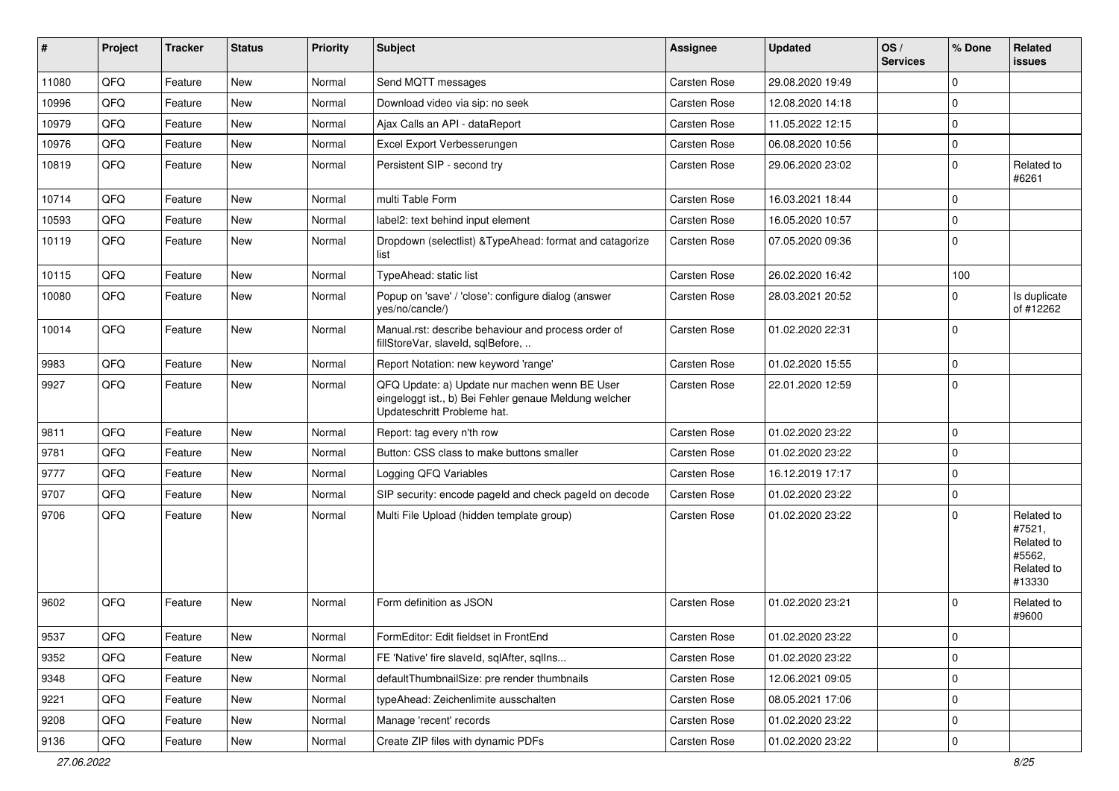| ∦     | Project | <b>Tracker</b> | <b>Status</b> | <b>Priority</b> | Subject                                                                                                                               | <b>Assignee</b>     | <b>Updated</b>   | OS/<br><b>Services</b> | % Done      | <b>Related</b><br><b>issues</b>                                      |
|-------|---------|----------------|---------------|-----------------|---------------------------------------------------------------------------------------------------------------------------------------|---------------------|------------------|------------------------|-------------|----------------------------------------------------------------------|
| 11080 | QFQ     | Feature        | New           | Normal          | Send MQTT messages                                                                                                                    | Carsten Rose        | 29.08.2020 19:49 |                        | $\mathbf 0$ |                                                                      |
| 10996 | QFQ     | Feature        | New           | Normal          | Download video via sip: no seek                                                                                                       | Carsten Rose        | 12.08.2020 14:18 |                        | $\mathbf 0$ |                                                                      |
| 10979 | QFQ     | Feature        | New           | Normal          | Ajax Calls an API - dataReport                                                                                                        | Carsten Rose        | 11.05.2022 12:15 |                        | $\mathbf 0$ |                                                                      |
| 10976 | QFQ     | Feature        | New           | Normal          | Excel Export Verbesserungen                                                                                                           | Carsten Rose        | 06.08.2020 10:56 |                        | $\mathbf 0$ |                                                                      |
| 10819 | QFQ     | Feature        | New           | Normal          | Persistent SIP - second try                                                                                                           | Carsten Rose        | 29.06.2020 23:02 |                        | $\mathbf 0$ | Related to<br>#6261                                                  |
| 10714 | QFQ     | Feature        | New           | Normal          | multi Table Form                                                                                                                      | Carsten Rose        | 16.03.2021 18:44 |                        | $\mathbf 0$ |                                                                      |
| 10593 | QFQ     | Feature        | New           | Normal          | label2: text behind input element                                                                                                     | Carsten Rose        | 16.05.2020 10:57 |                        | $\Omega$    |                                                                      |
| 10119 | QFQ     | Feature        | New           | Normal          | Dropdown (selectlist) & TypeAhead: format and catagorize<br>list                                                                      | Carsten Rose        | 07.05.2020 09:36 |                        | $\mathbf 0$ |                                                                      |
| 10115 | QFQ     | Feature        | <b>New</b>    | Normal          | TypeAhead: static list                                                                                                                | Carsten Rose        | 26.02.2020 16:42 |                        | 100         |                                                                      |
| 10080 | QFQ     | Feature        | <b>New</b>    | Normal          | Popup on 'save' / 'close': configure dialog (answer<br>ves/no/cancle/)                                                                | Carsten Rose        | 28.03.2021 20:52 |                        | $\Omega$    | Is duplicate<br>of #12262                                            |
| 10014 | QFQ     | Feature        | <b>New</b>    | Normal          | Manual.rst: describe behaviour and process order of<br>fillStoreVar, slaveId, sqlBefore,                                              | Carsten Rose        | 01.02.2020 22:31 |                        | $\mathbf 0$ |                                                                      |
| 9983  | QFQ     | Feature        | New           | Normal          | Report Notation: new keyword 'range'                                                                                                  | Carsten Rose        | 01.02.2020 15:55 |                        | $\mathbf 0$ |                                                                      |
| 9927  | QFQ     | Feature        | <b>New</b>    | Normal          | QFQ Update: a) Update nur machen wenn BE User<br>eingeloggt ist., b) Bei Fehler genaue Meldung welcher<br>Updateschritt Probleme hat. | Carsten Rose        | 22.01.2020 12:59 |                        | $\mathbf 0$ |                                                                      |
| 9811  | QFQ     | Feature        | <b>New</b>    | Normal          | Report: tag every n'th row                                                                                                            | Carsten Rose        | 01.02.2020 23:22 |                        | $\mathbf 0$ |                                                                      |
| 9781  | QFQ     | Feature        | New           | Normal          | Button: CSS class to make buttons smaller                                                                                             | Carsten Rose        | 01.02.2020 23:22 |                        | $\mathbf 0$ |                                                                      |
| 9777  | QFQ     | Feature        | New           | Normal          | Logging QFQ Variables                                                                                                                 | Carsten Rose        | 16.12.2019 17:17 |                        | $\mathbf 0$ |                                                                      |
| 9707  | QFQ     | Feature        | New           | Normal          | SIP security: encode pageld and check pageld on decode                                                                                | Carsten Rose        | 01.02.2020 23:22 |                        | $\mathbf 0$ |                                                                      |
| 9706  | QFQ     | Feature        | New           | Normal          | Multi File Upload (hidden template group)                                                                                             | Carsten Rose        | 01.02.2020 23:22 |                        | $\Omega$    | Related to<br>#7521,<br>Related to<br>#5562,<br>Related to<br>#13330 |
| 9602  | QFQ     | Feature        | <b>New</b>    | Normal          | Form definition as JSON                                                                                                               | <b>Carsten Rose</b> | 01.02.2020 23:21 |                        | $\Omega$    | Related to<br>#9600                                                  |
| 9537  | QFQ     | Feature        | New           | Normal          | FormEditor: Edit fieldset in FrontEnd                                                                                                 | Carsten Rose        | 01.02.2020 23:22 |                        | 0           |                                                                      |
| 9352  | QFQ     | Feature        | New           | Normal          | FE 'Native' fire slaveld, sqlAfter, sqlIns                                                                                            | Carsten Rose        | 01.02.2020 23:22 |                        | $\mathbf 0$ |                                                                      |
| 9348  | QFQ     | Feature        | New           | Normal          | defaultThumbnailSize: pre render thumbnails                                                                                           | Carsten Rose        | 12.06.2021 09:05 |                        | $\mathbf 0$ |                                                                      |
| 9221  | QFQ     | Feature        | New           | Normal          | typeAhead: Zeichenlimite ausschalten                                                                                                  | Carsten Rose        | 08.05.2021 17:06 |                        | $\mathbf 0$ |                                                                      |
| 9208  | QFQ     | Feature        | New           | Normal          | Manage 'recent' records                                                                                                               | Carsten Rose        | 01.02.2020 23:22 |                        | $\mathbf 0$ |                                                                      |
| 9136  | QFQ     | Feature        | New           | Normal          | Create ZIP files with dynamic PDFs                                                                                                    | Carsten Rose        | 01.02.2020 23:22 |                        | $\mathbf 0$ |                                                                      |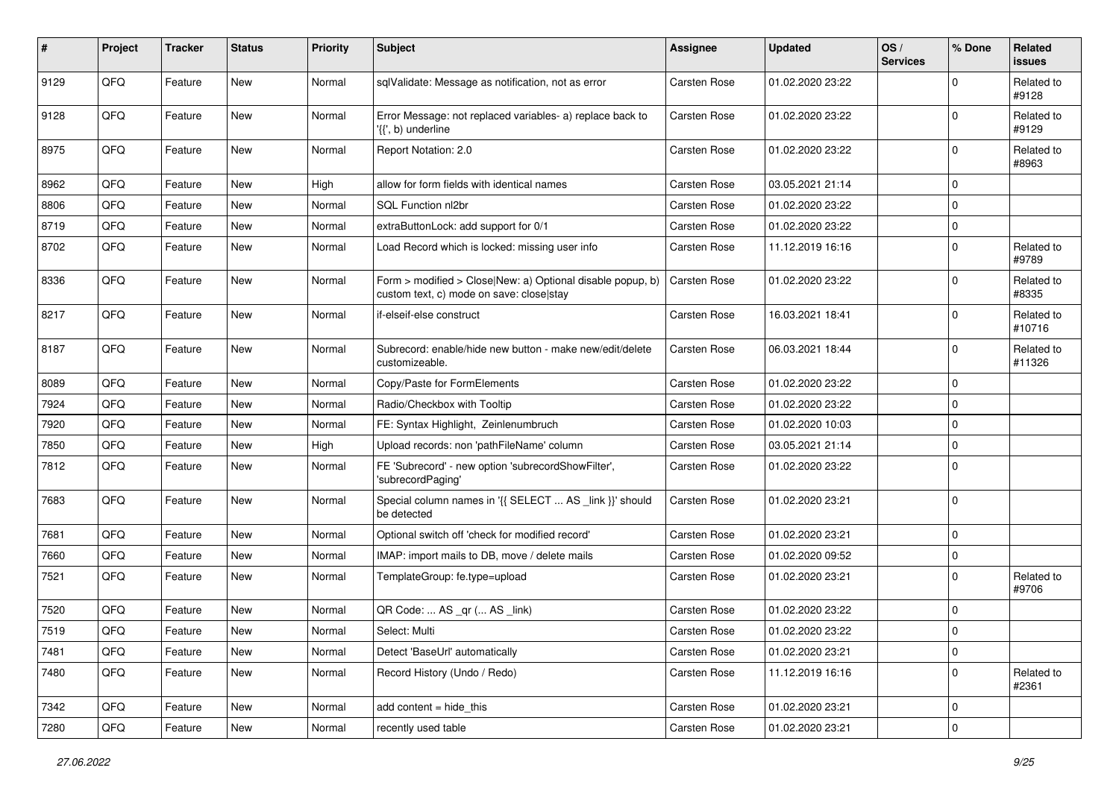| #    | Project | <b>Tracker</b> | <b>Status</b> | <b>Priority</b> | <b>Subject</b>                                                                                         | Assignee     | <b>Updated</b>   | OS/<br><b>Services</b> | % Done      | <b>Related</b><br><b>issues</b> |
|------|---------|----------------|---------------|-----------------|--------------------------------------------------------------------------------------------------------|--------------|------------------|------------------------|-------------|---------------------------------|
| 9129 | QFQ     | Feature        | New           | Normal          | sqlValidate: Message as notification, not as error                                                     | Carsten Rose | 01.02.2020 23:22 |                        | $\Omega$    | Related to<br>#9128             |
| 9128 | QFQ     | Feature        | New           | Normal          | Error Message: not replaced variables- a) replace back to<br>$\langle \{ \cdot, b \rangle$ underline   | Carsten Rose | 01.02.2020 23:22 |                        | $\mathbf 0$ | Related to<br>#9129             |
| 8975 | QFQ     | Feature        | New           | Normal          | Report Notation: 2.0                                                                                   | Carsten Rose | 01.02.2020 23:22 |                        | $\Omega$    | Related to<br>#8963             |
| 8962 | QFQ     | Feature        | New           | High            | allow for form fields with identical names                                                             | Carsten Rose | 03.05.2021 21:14 |                        | $\mathbf 0$ |                                 |
| 8806 | QFQ     | Feature        | New           | Normal          | SQL Function nl2br                                                                                     | Carsten Rose | 01.02.2020 23:22 |                        | $\Omega$    |                                 |
| 8719 | QFQ     | Feature        | New           | Normal          | extraButtonLock: add support for 0/1                                                                   | Carsten Rose | 01.02.2020 23:22 |                        | 0           |                                 |
| 8702 | QFQ     | Feature        | New           | Normal          | Load Record which is locked: missing user info                                                         | Carsten Rose | 11.12.2019 16:16 |                        | $\mathbf 0$ | Related to<br>#9789             |
| 8336 | QFQ     | Feature        | New           | Normal          | Form > modified > Close New: a) Optional disable popup, b)<br>custom text, c) mode on save: close stay | Carsten Rose | 01.02.2020 23:22 |                        | $\mathbf 0$ | Related to<br>#8335             |
| 8217 | QFQ     | Feature        | New           | Normal          | if-elseif-else construct                                                                               | Carsten Rose | 16.03.2021 18:41 |                        | $\mathbf 0$ | Related to<br>#10716            |
| 8187 | QFQ     | Feature        | New           | Normal          | Subrecord: enable/hide new button - make new/edit/delete<br>customizeable.                             | Carsten Rose | 06.03.2021 18:44 |                        | $\Omega$    | Related to<br>#11326            |
| 8089 | QFQ     | Feature        | New           | Normal          | Copy/Paste for FormElements                                                                            | Carsten Rose | 01.02.2020 23:22 |                        | $\mathbf 0$ |                                 |
| 7924 | QFQ     | Feature        | New           | Normal          | Radio/Checkbox with Tooltip                                                                            | Carsten Rose | 01.02.2020 23:22 |                        | $\mathbf 0$ |                                 |
| 7920 | QFQ     | Feature        | <b>New</b>    | Normal          | FE: Syntax Highlight, Zeinlenumbruch                                                                   | Carsten Rose | 01.02.2020 10:03 |                        | $\Omega$    |                                 |
| 7850 | QFQ     | Feature        | New           | High            | Upload records: non 'pathFileName' column                                                              | Carsten Rose | 03.05.2021 21:14 |                        | $\mathbf 0$ |                                 |
| 7812 | QFQ     | Feature        | New           | Normal          | FE 'Subrecord' - new option 'subrecordShowFilter',<br>'subrecordPaging'                                | Carsten Rose | 01.02.2020 23:22 |                        | $\mathbf 0$ |                                 |
| 7683 | QFQ     | Feature        | New           | Normal          | Special column names in '{{ SELECT  AS _link }}' should<br>be detected                                 | Carsten Rose | 01.02.2020 23:21 |                        | $\Omega$    |                                 |
| 7681 | QFQ     | Feature        | New           | Normal          | Optional switch off 'check for modified record'                                                        | Carsten Rose | 01.02.2020 23:21 |                        | 0           |                                 |
| 7660 | QFQ     | Feature        | New           | Normal          | IMAP: import mails to DB, move / delete mails                                                          | Carsten Rose | 01.02.2020 09:52 |                        | $\mathbf 0$ |                                 |
| 7521 | QFQ     | Feature        | New           | Normal          | TemplateGroup: fe.type=upload                                                                          | Carsten Rose | 01.02.2020 23:21 |                        | 0           | Related to<br>#9706             |
| 7520 | QFQ     | Feature        | New           | Normal          | QR Code:  AS _qr ( AS _link)                                                                           | Carsten Rose | 01.02.2020 23:22 |                        | $\mathbf 0$ |                                 |
| 7519 | QFQ     | Feature        | New           | Normal          | Select: Multi                                                                                          | Carsten Rose | 01.02.2020 23:22 |                        | $\Omega$    |                                 |
| 7481 | QFQ     | Feature        | New           | Normal          | Detect 'BaseUrl' automatically                                                                         | Carsten Rose | 01.02.2020 23:21 |                        | $\mathbf 0$ |                                 |
| 7480 | QFQ     | Feature        | New           | Normal          | Record History (Undo / Redo)                                                                           | Carsten Rose | 11.12.2019 16:16 |                        | $\mathbf 0$ | Related to<br>#2361             |
| 7342 | QFQ     | Feature        | New           | Normal          | add content = hide_this                                                                                | Carsten Rose | 01.02.2020 23:21 |                        | 0           |                                 |
| 7280 | QFQ     | Feature        | New           | Normal          | recently used table                                                                                    | Carsten Rose | 01.02.2020 23:21 |                        | 0           |                                 |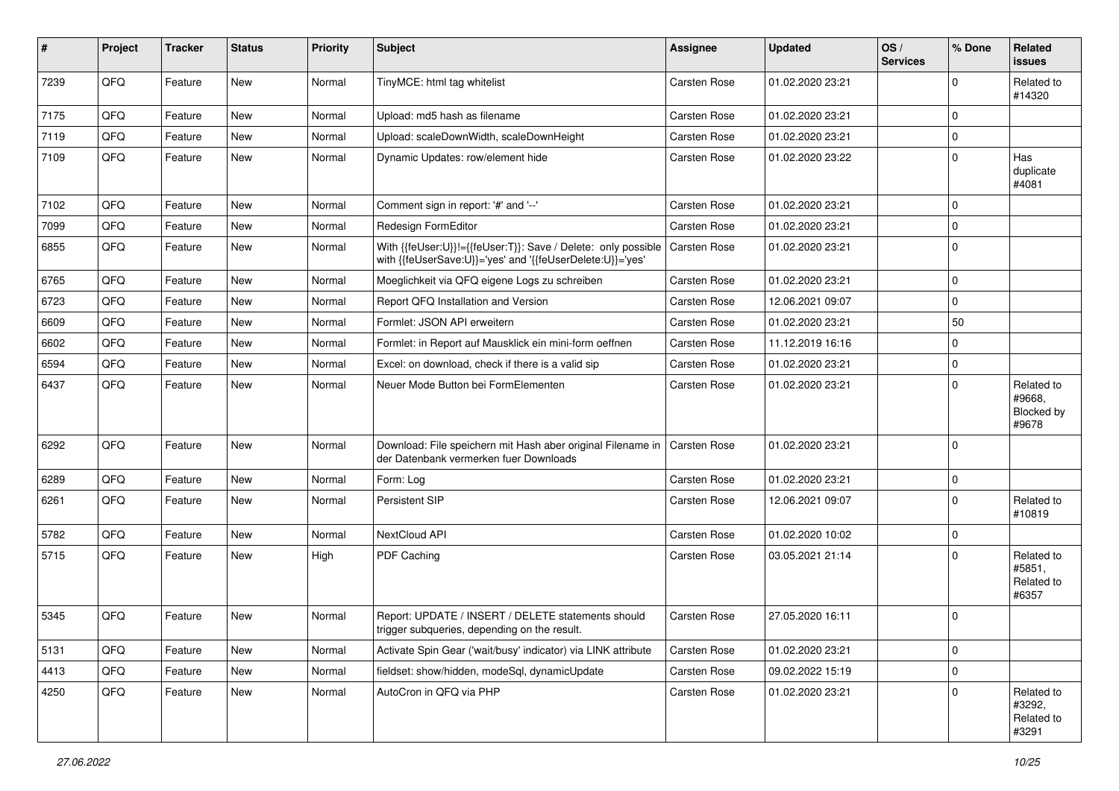| #    | Project | <b>Tracker</b> | <b>Status</b> | <b>Priority</b> | <b>Subject</b>                                                                                                             | <b>Assignee</b>     | <b>Updated</b>   | OS/<br><b>Services</b> | % Done      | Related<br>issues                           |
|------|---------|----------------|---------------|-----------------|----------------------------------------------------------------------------------------------------------------------------|---------------------|------------------|------------------------|-------------|---------------------------------------------|
| 7239 | QFQ     | Feature        | New           | Normal          | TinyMCE: html tag whitelist                                                                                                | <b>Carsten Rose</b> | 01.02.2020 23:21 |                        | $\Omega$    | Related to<br>#14320                        |
| 7175 | QFQ     | Feature        | New           | Normal          | Upload: md5 hash as filename                                                                                               | <b>Carsten Rose</b> | 01.02.2020 23:21 |                        | $\Omega$    |                                             |
| 7119 | QFQ     | Feature        | New           | Normal          | Upload: scaleDownWidth, scaleDownHeight                                                                                    | Carsten Rose        | 01.02.2020 23:21 |                        | $\Omega$    |                                             |
| 7109 | QFQ     | Feature        | New           | Normal          | Dynamic Updates: row/element hide                                                                                          | <b>Carsten Rose</b> | 01.02.2020 23:22 |                        | $\Omega$    | Has<br>duplicate<br>#4081                   |
| 7102 | QFQ     | Feature        | New           | Normal          | Comment sign in report: '#' and '--'                                                                                       | <b>Carsten Rose</b> | 01.02.2020 23:21 |                        | $\Omega$    |                                             |
| 7099 | QFQ     | Feature        | New           | Normal          | Redesign FormEditor                                                                                                        | <b>Carsten Rose</b> | 01.02.2020 23:21 |                        | $\Omega$    |                                             |
| 6855 | QFQ     | Feature        | New           | Normal          | With {{feUser:U}}!={{feUser:T}}: Save / Delete: only possible<br>with {{feUserSave:U}}='yes' and '{{feUserDelete:U}}='yes' | <b>Carsten Rose</b> | 01.02.2020 23:21 |                        | $\Omega$    |                                             |
| 6765 | QFQ     | Feature        | New           | Normal          | Moeglichkeit via QFQ eigene Logs zu schreiben                                                                              | <b>Carsten Rose</b> | 01.02.2020 23:21 |                        | $\Omega$    |                                             |
| 6723 | QFQ     | Feature        | New           | Normal          | Report QFQ Installation and Version                                                                                        | Carsten Rose        | 12.06.2021 09:07 |                        | $\Omega$    |                                             |
| 6609 | QFQ     | Feature        | New           | Normal          | Formlet: JSON API erweitern                                                                                                | <b>Carsten Rose</b> | 01.02.2020 23:21 |                        | 50          |                                             |
| 6602 | QFQ     | Feature        | New           | Normal          | Formlet: in Report auf Mausklick ein mini-form oeffnen                                                                     | <b>Carsten Rose</b> | 11.12.2019 16:16 |                        | $\Omega$    |                                             |
| 6594 | QFQ     | Feature        | New           | Normal          | Excel: on download, check if there is a valid sip                                                                          | <b>Carsten Rose</b> | 01.02.2020 23:21 |                        | $\Omega$    |                                             |
| 6437 | QFQ     | Feature        | New           | Normal          | Neuer Mode Button bei FormElementen                                                                                        | Carsten Rose        | 01.02.2020 23:21 |                        | $\Omega$    | Related to<br>#9668,<br>Blocked by<br>#9678 |
| 6292 | QFQ     | Feature        | New           | Normal          | Download: File speichern mit Hash aber original Filename in<br>der Datenbank vermerken fuer Downloads                      | <b>Carsten Rose</b> | 01.02.2020 23:21 |                        | $\Omega$    |                                             |
| 6289 | QFQ     | Feature        | <b>New</b>    | Normal          | Form: Log                                                                                                                  | <b>Carsten Rose</b> | 01.02.2020 23:21 |                        | $\Omega$    |                                             |
| 6261 | QFQ     | Feature        | New           | Normal          | <b>Persistent SIP</b>                                                                                                      | Carsten Rose        | 12.06.2021 09:07 |                        | $\Omega$    | Related to<br>#10819                        |
| 5782 | QFQ     | Feature        | New           | Normal          | NextCloud API                                                                                                              | <b>Carsten Rose</b> | 01.02.2020 10:02 |                        | $\Omega$    |                                             |
| 5715 | QFQ     | Feature        | New           | High            | PDF Caching                                                                                                                | Carsten Rose        | 03.05.2021 21:14 |                        | $\Omega$    | Related to<br>#5851.<br>Related to<br>#6357 |
| 5345 | QFQ     | Feature        | New           | Normal          | Report: UPDATE / INSERT / DELETE statements should<br>trigger subqueries, depending on the result.                         | <b>Carsten Rose</b> | 27.05.2020 16:11 |                        | $\Omega$    |                                             |
| 5131 | QFQ     | Feature        | New           | Normal          | Activate Spin Gear ('wait/busy' indicator) via LINK attribute                                                              | Carsten Rose        | 01.02.2020 23:21 |                        | 0           |                                             |
| 4413 | QFQ     | Feature        | New           | Normal          | fieldset: show/hidden, modeSql, dynamicUpdate                                                                              | Carsten Rose        | 09.02.2022 15:19 |                        | $\mathbf 0$ |                                             |
| 4250 | QFQ     | Feature        | New           | Normal          | AutoCron in QFQ via PHP                                                                                                    | Carsten Rose        | 01.02.2020 23:21 |                        | $\Omega$    | Related to<br>#3292,<br>Related to<br>#3291 |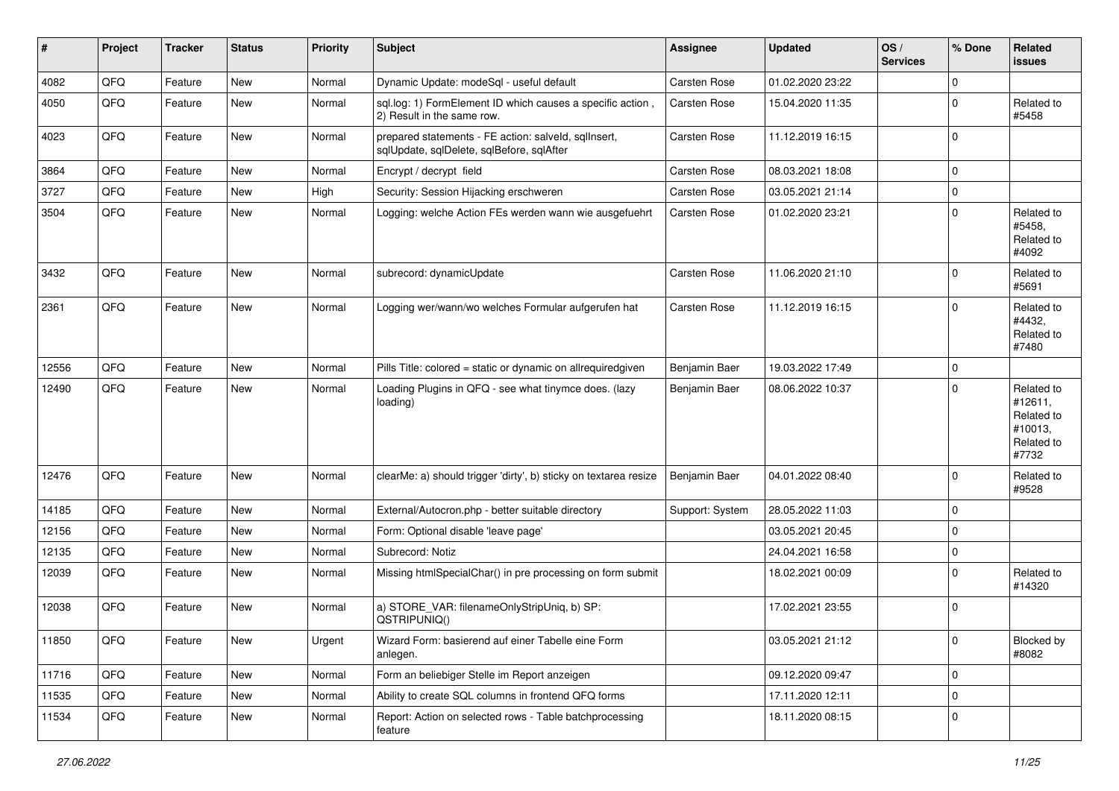| #     | Project | <b>Tracker</b> | <b>Status</b> | <b>Priority</b> | <b>Subject</b>                                                                                    | Assignee            | <b>Updated</b>   | OS/<br><b>Services</b> | % Done      | Related<br><b>issues</b>                                              |
|-------|---------|----------------|---------------|-----------------|---------------------------------------------------------------------------------------------------|---------------------|------------------|------------------------|-------------|-----------------------------------------------------------------------|
| 4082  | QFQ     | Feature        | New           | Normal          | Dynamic Update: modeSql - useful default                                                          | Carsten Rose        | 01.02.2020 23:22 |                        | $\mathbf 0$ |                                                                       |
| 4050  | QFQ     | Feature        | New           | Normal          | sql.log: 1) FormElement ID which causes a specific action,<br>2) Result in the same row.          | Carsten Rose        | 15.04.2020 11:35 |                        | $\mathbf 0$ | Related to<br>#5458                                                   |
| 4023  | QFQ     | Feature        | New           | Normal          | prepared statements - FE action: salveld, sqllnsert,<br>sqlUpdate, sqlDelete, sqlBefore, sqlAfter | Carsten Rose        | 11.12.2019 16:15 |                        | $\Omega$    |                                                                       |
| 3864  | QFQ     | Feature        | New           | Normal          | Encrypt / decrypt field                                                                           | Carsten Rose        | 08.03.2021 18:08 |                        | $\mathbf 0$ |                                                                       |
| 3727  | QFQ     | Feature        | New           | High            | Security: Session Hijacking erschweren                                                            | Carsten Rose        | 03.05.2021 21:14 |                        | $\pmb{0}$   |                                                                       |
| 3504  | QFQ     | Feature        | New           | Normal          | Logging: welche Action FEs werden wann wie ausgefuehrt                                            | Carsten Rose        | 01.02.2020 23:21 |                        | $\Omega$    | Related to<br>#5458,<br>Related to<br>#4092                           |
| 3432  | QFQ     | Feature        | New           | Normal          | subrecord: dynamicUpdate                                                                          | <b>Carsten Rose</b> | 11.06.2020 21:10 |                        | $\Omega$    | Related to<br>#5691                                                   |
| 2361  | QFQ     | Feature        | New           | Normal          | Logging wer/wann/wo welches Formular aufgerufen hat                                               | Carsten Rose        | 11.12.2019 16:15 |                        | $\mathbf 0$ | Related to<br>#4432,<br>Related to<br>#7480                           |
| 12556 | QFQ     | Feature        | <b>New</b>    | Normal          | Pills Title: colored = static or dynamic on allrequiredgiven                                      | Benjamin Baer       | 19.03.2022 17:49 |                        | $\mathbf 0$ |                                                                       |
| 12490 | QFQ     | Feature        | New           | Normal          | Loading Plugins in QFQ - see what tinymce does. (lazy<br>loading)                                 | Benjamin Baer       | 08.06.2022 10:37 |                        | $\Omega$    | Related to<br>#12611,<br>Related to<br>#10013,<br>Related to<br>#7732 |
| 12476 | QFQ     | Feature        | New           | Normal          | clearMe: a) should trigger 'dirty', b) sticky on textarea resize                                  | Benjamin Baer       | 04.01.2022 08:40 |                        | $\Omega$    | Related to<br>#9528                                                   |
| 14185 | QFQ     | Feature        | New           | Normal          | External/Autocron.php - better suitable directory                                                 | Support: System     | 28.05.2022 11:03 |                        | 0           |                                                                       |
| 12156 | QFQ     | Feature        | New           | Normal          | Form: Optional disable 'leave page'                                                               |                     | 03.05.2021 20:45 |                        | $\Omega$    |                                                                       |
| 12135 | QFQ     | Feature        | New           | Normal          | Subrecord: Notiz                                                                                  |                     | 24.04.2021 16:58 |                        | $\mathbf 0$ |                                                                       |
| 12039 | QFQ     | Feature        | New           | Normal          | Missing htmlSpecialChar() in pre processing on form submit                                        |                     | 18.02.2021 00:09 |                        | $\Omega$    | Related to<br>#14320                                                  |
| 12038 | QFQ     | Feature        | <b>New</b>    | Normal          | a) STORE_VAR: filenameOnlyStripUniq, b) SP:<br>QSTRIPUNIQ()                                       |                     | 17.02.2021 23:55 |                        | $\mathbf 0$ |                                                                       |
| 11850 | QFQ     | Feature        | New           | Urgent          | Wizard Form: basierend auf einer Tabelle eine Form<br>anlegen.                                    |                     | 03.05.2021 21:12 |                        | 0           | <b>Blocked by</b><br>#8082                                            |
| 11716 | QFQ     | Feature        | New           | Normal          | Form an beliebiger Stelle im Report anzeigen                                                      |                     | 09.12.2020 09:47 |                        | $\mathbf 0$ |                                                                       |
| 11535 | QFQ     | Feature        | New           | Normal          | Ability to create SQL columns in frontend QFQ forms                                               |                     | 17.11.2020 12:11 |                        | $\mathbf 0$ |                                                                       |
| 11534 | QFQ     | Feature        | New           | Normal          | Report: Action on selected rows - Table batchprocessing<br>feature                                |                     | 18.11.2020 08:15 |                        | $\mathbf 0$ |                                                                       |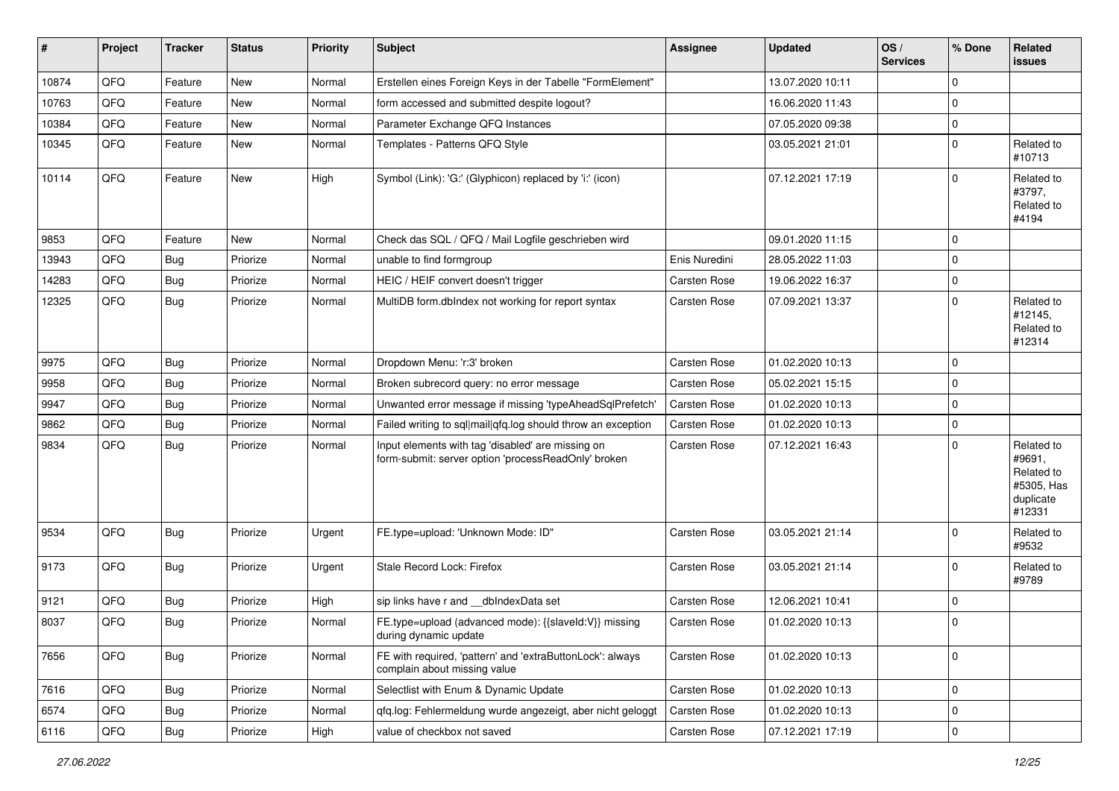| #     | Project | <b>Tracker</b> | <b>Status</b> | <b>Priority</b> | <b>Subject</b>                                                                                           | <b>Assignee</b>     | <b>Updated</b>   | OS/<br><b>Services</b> | % Done      | <b>Related</b><br>issues                                                |
|-------|---------|----------------|---------------|-----------------|----------------------------------------------------------------------------------------------------------|---------------------|------------------|------------------------|-------------|-------------------------------------------------------------------------|
| 10874 | QFQ     | Feature        | New           | Normal          | Erstellen eines Foreign Keys in der Tabelle "FormElement"                                                |                     | 13.07.2020 10:11 |                        | $\mathbf 0$ |                                                                         |
| 10763 | QFQ     | Feature        | New           | Normal          | form accessed and submitted despite logout?                                                              |                     | 16.06.2020 11:43 |                        | $\pmb{0}$   |                                                                         |
| 10384 | QFQ     | Feature        | New           | Normal          | Parameter Exchange QFQ Instances                                                                         |                     | 07.05.2020 09:38 |                        | $\pmb{0}$   |                                                                         |
| 10345 | QFQ     | Feature        | New           | Normal          | Templates - Patterns QFQ Style                                                                           |                     | 03.05.2021 21:01 |                        | $\mathbf 0$ | Related to<br>#10713                                                    |
| 10114 | QFQ     | Feature        | <b>New</b>    | High            | Symbol (Link): 'G:' (Glyphicon) replaced by 'i:' (icon)                                                  |                     | 07.12.2021 17:19 |                        | $\Omega$    | Related to<br>#3797,<br>Related to<br>#4194                             |
| 9853  | QFQ     | Feature        | New           | Normal          | Check das SQL / QFQ / Mail Logfile geschrieben wird                                                      |                     | 09.01.2020 11:15 |                        | $\mathbf 0$ |                                                                         |
| 13943 | QFQ     | Bug            | Priorize      | Normal          | unable to find formgroup                                                                                 | Enis Nuredini       | 28.05.2022 11:03 |                        | $\mathbf 0$ |                                                                         |
| 14283 | QFQ     | Bug            | Priorize      | Normal          | HEIC / HEIF convert doesn't trigger                                                                      | <b>Carsten Rose</b> | 19.06.2022 16:37 |                        | $\pmb{0}$   |                                                                         |
| 12325 | QFQ     | Bug            | Priorize      | Normal          | MultiDB form.dblndex not working for report syntax                                                       | Carsten Rose        | 07.09.2021 13:37 |                        | $\mathbf 0$ | Related to<br>#12145,<br>Related to<br>#12314                           |
| 9975  | QFQ     | Bug            | Priorize      | Normal          | Dropdown Menu: 'r:3' broken                                                                              | Carsten Rose        | 01.02.2020 10:13 |                        | $\mathbf 0$ |                                                                         |
| 9958  | QFQ     | Bug            | Priorize      | Normal          | Broken subrecord query: no error message                                                                 | <b>Carsten Rose</b> | 05.02.2021 15:15 |                        | 0           |                                                                         |
| 9947  | QFQ     | Bug            | Priorize      | Normal          | Unwanted error message if missing 'typeAheadSqlPrefetch'                                                 | <b>Carsten Rose</b> | 01.02.2020 10:13 |                        | $\mathbf 0$ |                                                                         |
| 9862  | QFQ     | Bug            | Priorize      | Normal          | Failed writing to sql mail qfq.log should throw an exception                                             | <b>Carsten Rose</b> | 01.02.2020 10:13 |                        | $\pmb{0}$   |                                                                         |
| 9834  | QFQ     | Bug            | Priorize      | Normal          | Input elements with tag 'disabled' are missing on<br>form-submit: server option 'processReadOnly' broken | <b>Carsten Rose</b> | 07.12.2021 16:43 |                        | $\Omega$    | Related to<br>#9691,<br>Related to<br>#5305, Has<br>duplicate<br>#12331 |
| 9534  | QFQ     | Bug            | Priorize      | Urgent          | FE.type=upload: 'Unknown Mode: ID"                                                                       | Carsten Rose        | 03.05.2021 21:14 |                        | $\mathbf 0$ | Related to<br>#9532                                                     |
| 9173  | QFQ     | Bug            | Priorize      | Urgent          | Stale Record Lock: Firefox                                                                               | Carsten Rose        | 03.05.2021 21:14 |                        | $\mathbf 0$ | Related to<br>#9789                                                     |
| 9121  | QFQ     | Bug            | Priorize      | High            | sip links have r and __dbIndexData set                                                                   | <b>Carsten Rose</b> | 12.06.2021 10:41 |                        | $\pmb{0}$   |                                                                         |
| 8037  | QFQ     | Bug            | Priorize      | Normal          | FE.type=upload (advanced mode): {{slaveld:V}} missing<br>during dynamic update                           | Carsten Rose        | 01.02.2020 10:13 |                        | $\pmb{0}$   |                                                                         |
| 7656  | QFQ     | <b>Bug</b>     | Priorize      | Normal          | FE with required, 'pattern' and 'extraButtonLock': always<br>complain about missing value                | Carsten Rose        | 01.02.2020 10:13 |                        | 0           |                                                                         |
| 7616  | QFQ     | <b>Bug</b>     | Priorize      | Normal          | Selectlist with Enum & Dynamic Update                                                                    | Carsten Rose        | 01.02.2020 10:13 |                        | $\pmb{0}$   |                                                                         |
| 6574  | QFQ     | Bug            | Priorize      | Normal          | qfq.log: Fehlermeldung wurde angezeigt, aber nicht geloggt                                               | Carsten Rose        | 01.02.2020 10:13 |                        | 0           |                                                                         |
| 6116  | QFQ     | Bug            | Priorize      | High            | value of checkbox not saved                                                                              | Carsten Rose        | 07.12.2021 17:19 |                        | $\pmb{0}$   |                                                                         |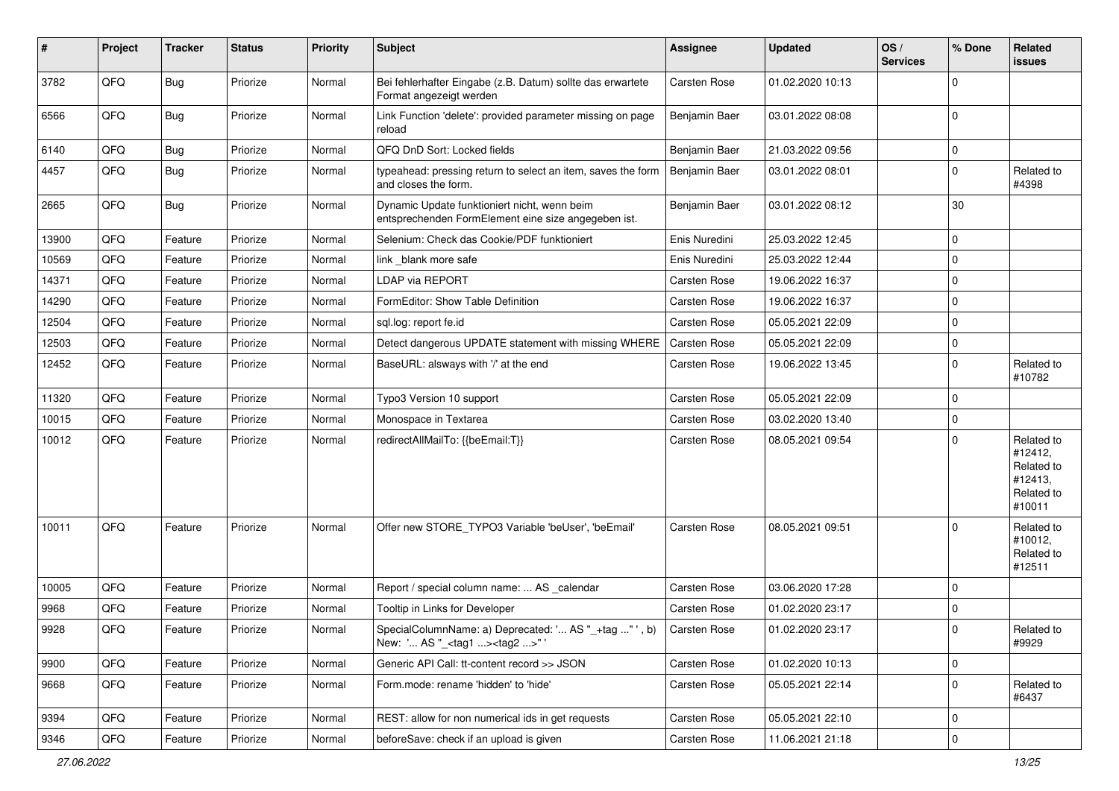| #     | Project | <b>Tracker</b> | <b>Status</b> | <b>Priority</b> | <b>Subject</b>                                                                                      | <b>Assignee</b> | <b>Updated</b>   | OS/<br><b>Services</b> | % Done      | Related<br>issues                                                      |
|-------|---------|----------------|---------------|-----------------|-----------------------------------------------------------------------------------------------------|-----------------|------------------|------------------------|-------------|------------------------------------------------------------------------|
| 3782  | QFQ     | Bug            | Priorize      | Normal          | Bei fehlerhafter Eingabe (z.B. Datum) sollte das erwartete<br>Format angezeigt werden               | Carsten Rose    | 01.02.2020 10:13 |                        | $\mathbf 0$ |                                                                        |
| 6566  | QFQ     | <b>Bug</b>     | Priorize      | Normal          | Link Function 'delete': provided parameter missing on page<br>reload                                | Benjamin Baer   | 03.01.2022 08:08 |                        | $\mathbf 0$ |                                                                        |
| 6140  | QFQ     | Bug            | Priorize      | Normal          | QFQ DnD Sort: Locked fields                                                                         | Benjamin Baer   | 21.03.2022 09:56 |                        | $\mathbf 0$ |                                                                        |
| 4457  | QFQ     | <b>Bug</b>     | Priorize      | Normal          | typeahead: pressing return to select an item, saves the form<br>and closes the form.                | Benjamin Baer   | 03.01.2022 08:01 |                        | $\mathbf 0$ | Related to<br>#4398                                                    |
| 2665  | QFQ     | <b>Bug</b>     | Priorize      | Normal          | Dynamic Update funktioniert nicht, wenn beim<br>entsprechenden FormElement eine size angegeben ist. | Benjamin Baer   | 03.01.2022 08:12 |                        | 30          |                                                                        |
| 13900 | QFQ     | Feature        | Priorize      | Normal          | Selenium: Check das Cookie/PDF funktioniert                                                         | Enis Nuredini   | 25.03.2022 12:45 |                        | $\mathbf 0$ |                                                                        |
| 10569 | QFQ     | Feature        | Priorize      | Normal          | link blank more safe                                                                                | Enis Nuredini   | 25.03.2022 12:44 |                        | $\mathbf 0$ |                                                                        |
| 14371 | QFQ     | Feature        | Priorize      | Normal          | <b>LDAP via REPORT</b>                                                                              | Carsten Rose    | 19.06.2022 16:37 |                        | $\mathbf 0$ |                                                                        |
| 14290 | QFQ     | Feature        | Priorize      | Normal          | FormEditor: Show Table Definition                                                                   | Carsten Rose    | 19.06.2022 16:37 |                        | $\mathbf 0$ |                                                                        |
| 12504 | QFQ     | Feature        | Priorize      | Normal          | sql.log: report fe.id                                                                               | Carsten Rose    | 05.05.2021 22:09 |                        | $\mathbf 0$ |                                                                        |
| 12503 | QFQ     | Feature        | Priorize      | Normal          | Detect dangerous UPDATE statement with missing WHERE                                                | Carsten Rose    | 05.05.2021 22:09 |                        | $\mathbf 0$ |                                                                        |
| 12452 | QFQ     | Feature        | Priorize      | Normal          | BaseURL: alsways with '/' at the end                                                                | Carsten Rose    | 19.06.2022 13:45 |                        | $\mathbf 0$ | Related to<br>#10782                                                   |
| 11320 | QFQ     | Feature        | Priorize      | Normal          | Typo3 Version 10 support                                                                            | Carsten Rose    | 05.05.2021 22:09 |                        | $\mathbf 0$ |                                                                        |
| 10015 | QFQ     | Feature        | Priorize      | Normal          | Monospace in Textarea                                                                               | Carsten Rose    | 03.02.2020 13:40 |                        | $\mathbf 0$ |                                                                        |
| 10012 | QFQ     | Feature        | Priorize      | Normal          | redirectAllMailTo: {{beEmail:T}}                                                                    | Carsten Rose    | 08.05.2021 09:54 |                        | $\mathbf 0$ | Related to<br>#12412,<br>Related to<br>#12413,<br>Related to<br>#10011 |
| 10011 | QFQ     | Feature        | Priorize      | Normal          | Offer new STORE_TYPO3 Variable 'beUser', 'beEmail'                                                  | Carsten Rose    | 08.05.2021 09:51 |                        | $\mathbf 0$ | Related to<br>#10012,<br>Related to<br>#12511                          |
| 10005 | QFQ     | Feature        | Priorize      | Normal          | Report / special column name:  AS _calendar                                                         | Carsten Rose    | 03.06.2020 17:28 |                        | $\mathbf 0$ |                                                                        |
| 9968  | QFQ     | Feature        | Priorize      | Normal          | Tooltip in Links for Developer                                                                      | Carsten Rose    | 01.02.2020 23:17 |                        | $\mathbf 0$ |                                                                        |
| 9928  | QFQ     | Feature        | Priorize      | Normal          | SpecialColumnName: a) Deprecated: ' AS "_+tag " ', b)<br>New: ' AS "_ <tag1><tag2>" '</tag2></tag1> | Carsten Rose    | 01.02.2020 23:17 |                        | $\mathbf 0$ | Related to<br>#9929                                                    |
| 9900  | QFQ     | Feature        | Priorize      | Normal          | Generic API Call: tt-content record >> JSON                                                         | Carsten Rose    | 01.02.2020 10:13 |                        | $\mathbf 0$ |                                                                        |
| 9668  | QFQ     | Feature        | Priorize      | Normal          | Form.mode: rename 'hidden' to 'hide'                                                                | Carsten Rose    | 05.05.2021 22:14 |                        | $\mathbf 0$ | Related to<br>#6437                                                    |
| 9394  | QFQ     | Feature        | Priorize      | Normal          | REST: allow for non numerical ids in get requests                                                   | Carsten Rose    | 05.05.2021 22:10 |                        | $\mathbf 0$ |                                                                        |
| 9346  | QFQ     | Feature        | Priorize      | Normal          | beforeSave: check if an upload is given                                                             | Carsten Rose    | 11.06.2021 21:18 |                        | 0           |                                                                        |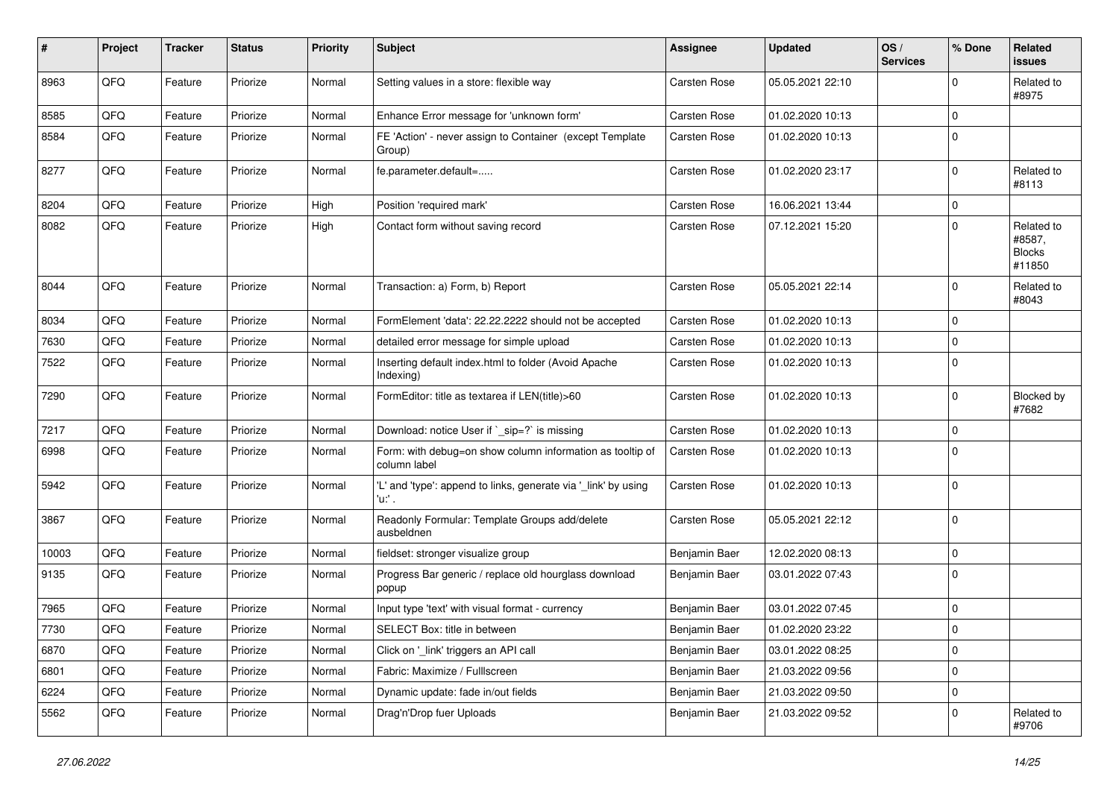| #     | Project | <b>Tracker</b> | <b>Status</b> | <b>Priority</b> | <b>Subject</b>                                                            | Assignee            | <b>Updated</b>   | OS/<br><b>Services</b> | % Done      | Related<br><b>issues</b>                        |
|-------|---------|----------------|---------------|-----------------|---------------------------------------------------------------------------|---------------------|------------------|------------------------|-------------|-------------------------------------------------|
| 8963  | QFQ     | Feature        | Priorize      | Normal          | Setting values in a store: flexible way                                   | <b>Carsten Rose</b> | 05.05.2021 22:10 |                        | $\Omega$    | Related to<br>#8975                             |
| 8585  | QFQ     | Feature        | Priorize      | Normal          | Enhance Error message for 'unknown form'                                  | <b>Carsten Rose</b> | 01.02.2020 10:13 |                        | 0           |                                                 |
| 8584  | QFQ     | Feature        | Priorize      | Normal          | FE 'Action' - never assign to Container (except Template<br>Group)        | Carsten Rose        | 01.02.2020 10:13 |                        | $\Omega$    |                                                 |
| 8277  | QFQ     | Feature        | Priorize      | Normal          | fe.parameter.default=                                                     | Carsten Rose        | 01.02.2020 23:17 |                        | 0           | Related to<br>#8113                             |
| 8204  | QFQ     | Feature        | Priorize      | High            | Position 'required mark'                                                  | Carsten Rose        | 16.06.2021 13:44 |                        | 0           |                                                 |
| 8082  | QFQ     | Feature        | Priorize      | High            | Contact form without saving record                                        | Carsten Rose        | 07.12.2021 15:20 |                        | $\Omega$    | Related to<br>#8587,<br><b>Blocks</b><br>#11850 |
| 8044  | QFQ     | Feature        | Priorize      | Normal          | Transaction: a) Form, b) Report                                           | <b>Carsten Rose</b> | 05.05.2021 22:14 |                        | $\Omega$    | Related to<br>#8043                             |
| 8034  | QFQ     | Feature        | Priorize      | Normal          | FormElement 'data': 22.22.2222 should not be accepted                     | Carsten Rose        | 01.02.2020 10:13 |                        | $\mathbf 0$ |                                                 |
| 7630  | QFQ     | Feature        | Priorize      | Normal          | detailed error message for simple upload                                  | Carsten Rose        | 01.02.2020 10:13 |                        | $\Omega$    |                                                 |
| 7522  | QFQ     | Feature        | Priorize      | Normal          | Inserting default index.html to folder (Avoid Apache<br>Indexing)         | <b>Carsten Rose</b> | 01.02.2020 10:13 |                        | $\Omega$    |                                                 |
| 7290  | QFQ     | Feature        | Priorize      | Normal          | FormEditor: title as textarea if LEN(title)>60                            | Carsten Rose        | 01.02.2020 10:13 |                        | 0           | <b>Blocked by</b><br>#7682                      |
| 7217  | QFQ     | Feature        | Priorize      | Normal          | Download: notice User if `_sip=?` is missing                              | Carsten Rose        | 01.02.2020 10:13 |                        | 0           |                                                 |
| 6998  | QFQ     | Feature        | Priorize      | Normal          | Form: with debug=on show column information as tooltip of<br>column label | Carsten Rose        | 01.02.2020 10:13 |                        | $\Omega$    |                                                 |
| 5942  | QFQ     | Feature        | Priorize      | Normal          | 'L' and 'type': append to links, generate via '_link' by using<br>'u:' .  | Carsten Rose        | 01.02.2020 10:13 |                        | $\Omega$    |                                                 |
| 3867  | QFQ     | Feature        | Priorize      | Normal          | Readonly Formular: Template Groups add/delete<br>ausbeldnen               | Carsten Rose        | 05.05.2021 22:12 |                        | $\Omega$    |                                                 |
| 10003 | QFQ     | Feature        | Priorize      | Normal          | fieldset: stronger visualize group                                        | Benjamin Baer       | 12.02.2020 08:13 |                        | 0           |                                                 |
| 9135  | QFQ     | Feature        | Priorize      | Normal          | Progress Bar generic / replace old hourglass download<br>popup            | Benjamin Baer       | 03.01.2022 07:43 |                        | $\Omega$    |                                                 |
| 7965  | QFQ     | Feature        | Priorize      | Normal          | Input type 'text' with visual format - currency                           | Benjamin Baer       | 03.01.2022 07:45 |                        | 0           |                                                 |
| 7730  | QFQ     | Feature        | Priorize      | Normal          | SELECT Box: title in between                                              | Benjamin Baer       | 01.02.2020 23:22 |                        | $\Omega$    |                                                 |
| 6870  | QFQ     | Feature        | Priorize      | Normal          | Click on '_link' triggers an API call                                     | Benjamin Baer       | 03.01.2022 08:25 |                        | $\Omega$    |                                                 |
| 6801  | QFQ     | Feature        | Priorize      | Normal          | Fabric: Maximize / Fulllscreen                                            | Benjamin Baer       | 21.03.2022 09:56 |                        | $\Omega$    |                                                 |
| 6224  | QFQ     | Feature        | Priorize      | Normal          | Dynamic update: fade in/out fields                                        | Benjamin Baer       | 21.03.2022 09:50 |                        | 0           |                                                 |
| 5562  | QFQ     | Feature        | Priorize      | Normal          | Drag'n'Drop fuer Uploads                                                  | Benjamin Baer       | 21.03.2022 09:52 |                        | $\Omega$    | Related to<br>#9706                             |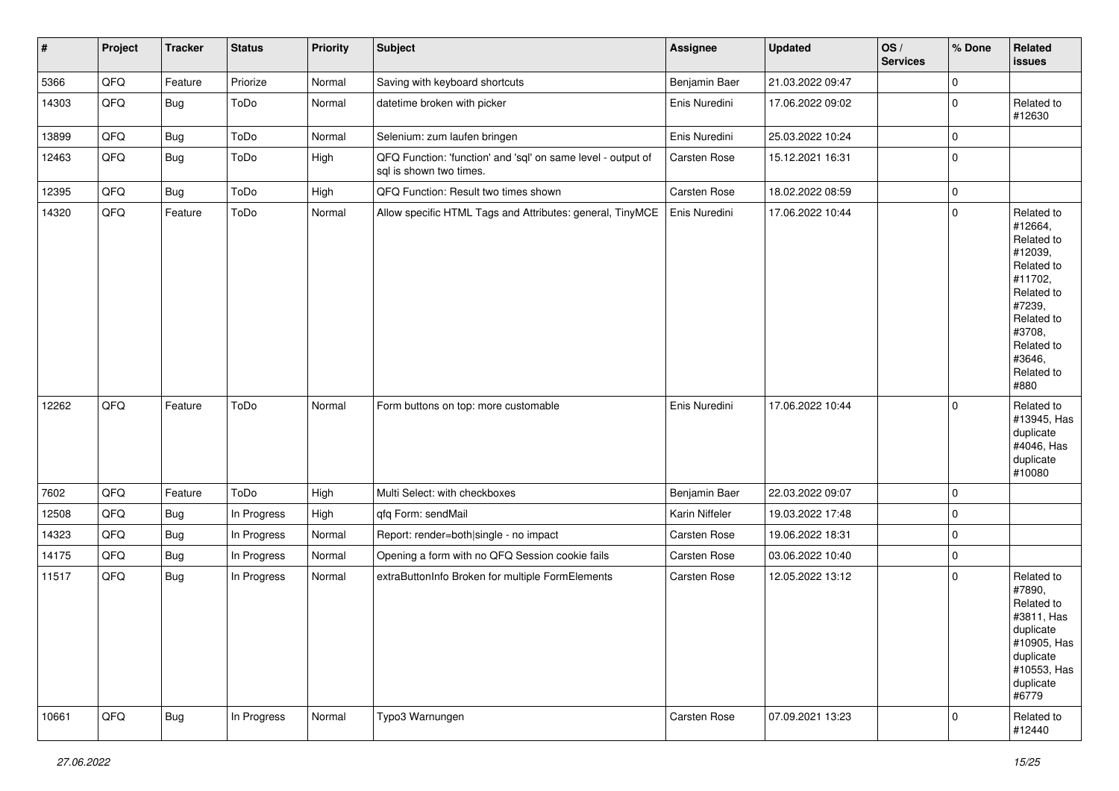| #     | Project | <b>Tracker</b> | <b>Status</b> | <b>Priority</b> | <b>Subject</b>                                                                          | <b>Assignee</b> | <b>Updated</b>   | OS/<br><b>Services</b> | % Done      | Related<br><b>issues</b>                                                                                                                                              |
|-------|---------|----------------|---------------|-----------------|-----------------------------------------------------------------------------------------|-----------------|------------------|------------------------|-------------|-----------------------------------------------------------------------------------------------------------------------------------------------------------------------|
| 5366  | QFQ     | Feature        | Priorize      | Normal          | Saving with keyboard shortcuts                                                          | Benjamin Baer   | 21.03.2022 09:47 |                        | $\mathbf 0$ |                                                                                                                                                                       |
| 14303 | QFQ     | <b>Bug</b>     | ToDo          | Normal          | datetime broken with picker                                                             | Enis Nuredini   | 17.06.2022 09:02 |                        | $\mathbf 0$ | Related to<br>#12630                                                                                                                                                  |
| 13899 | QFQ     | <b>Bug</b>     | ToDo          | Normal          | Selenium: zum laufen bringen                                                            | Enis Nuredini   | 25.03.2022 10:24 |                        | $\mathbf 0$ |                                                                                                                                                                       |
| 12463 | QFQ     | <b>Bug</b>     | ToDo          | High            | QFQ Function: 'function' and 'sql' on same level - output of<br>sql is shown two times. | Carsten Rose    | 15.12.2021 16:31 |                        | $\mathbf 0$ |                                                                                                                                                                       |
| 12395 | QFQ     | Bug            | ToDo          | High            | QFQ Function: Result two times shown                                                    | Carsten Rose    | 18.02.2022 08:59 |                        | $\mathbf 0$ |                                                                                                                                                                       |
| 14320 | QFQ     | Feature        | ToDo          | Normal          | Allow specific HTML Tags and Attributes: general, TinyMCE                               | Enis Nuredini   | 17.06.2022 10:44 |                        | $\mathbf 0$ | Related to<br>#12664,<br>Related to<br>#12039,<br>Related to<br>#11702,<br>Related to<br>#7239,<br>Related to<br>#3708,<br>Related to<br>#3646,<br>Related to<br>#880 |
| 12262 | QFQ     | Feature        | ToDo          | Normal          | Form buttons on top: more customable                                                    | Enis Nuredini   | 17.06.2022 10:44 |                        | $\mathbf 0$ | Related to<br>#13945, Has<br>duplicate<br>#4046, Has<br>duplicate<br>#10080                                                                                           |
| 7602  | QFQ     | Feature        | ToDo          | High            | Multi Select: with checkboxes                                                           | Benjamin Baer   | 22.03.2022 09:07 |                        | $\mathbf 0$ |                                                                                                                                                                       |
| 12508 | QFQ     | <b>Bug</b>     | In Progress   | High            | qfq Form: sendMail                                                                      | Karin Niffeler  | 19.03.2022 17:48 |                        | $\mathbf 0$ |                                                                                                                                                                       |
| 14323 | QFQ     | <b>Bug</b>     | In Progress   | Normal          | Report: render=both single - no impact                                                  | Carsten Rose    | 19.06.2022 18:31 |                        | $\mathbf 0$ |                                                                                                                                                                       |
| 14175 | QFQ     | <b>Bug</b>     | In Progress   | Normal          | Opening a form with no QFQ Session cookie fails                                         | Carsten Rose    | 03.06.2022 10:40 |                        | $\mathbf 0$ |                                                                                                                                                                       |
| 11517 | QFQ     | <b>Bug</b>     | In Progress   | Normal          | extraButtonInfo Broken for multiple FormElements                                        | Carsten Rose    | 12.05.2022 13:12 |                        | $\mathbf 0$ | Related to<br>#7890,<br>Related to<br>#3811, Has<br>duplicate<br>#10905, Has<br>duplicate<br>#10553, Has<br>duplicate<br>#6779                                        |
| 10661 | QFQ     | i Bug          | In Progress   | Normal          | Typo3 Warnungen                                                                         | Carsten Rose    | 07.09.2021 13:23 |                        | $\mathbf 0$ | Related to<br>#12440                                                                                                                                                  |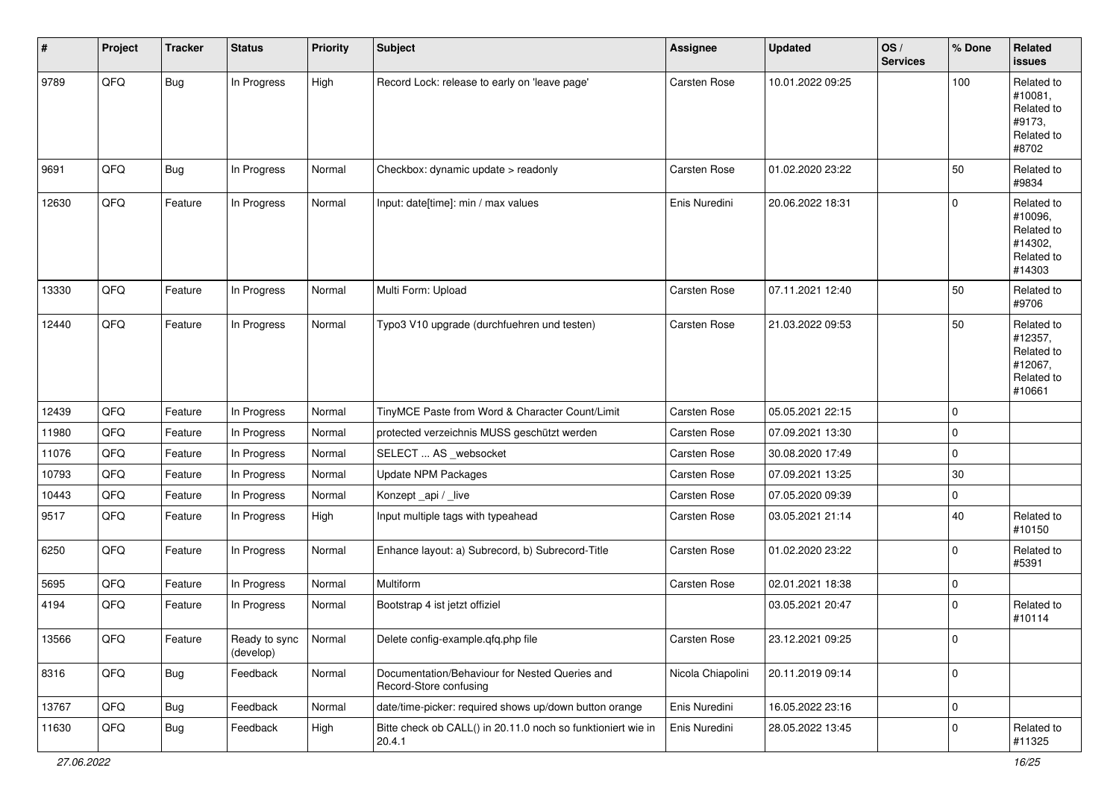| #     | Project | <b>Tracker</b> | <b>Status</b>              | <b>Priority</b> | Subject                                                                  | <b>Assignee</b>     | <b>Updated</b>   | OS/<br><b>Services</b> | % Done      | Related<br><b>issues</b>                                               |
|-------|---------|----------------|----------------------------|-----------------|--------------------------------------------------------------------------|---------------------|------------------|------------------------|-------------|------------------------------------------------------------------------|
| 9789  | QFQ     | <b>Bug</b>     | In Progress                | High            | Record Lock: release to early on 'leave page'                            | Carsten Rose        | 10.01.2022 09:25 |                        | 100         | Related to<br>#10081,<br>Related to<br>#9173,<br>Related to<br>#8702   |
| 9691  | QFQ     | <b>Bug</b>     | In Progress                | Normal          | Checkbox: dynamic update > readonly                                      | <b>Carsten Rose</b> | 01.02.2020 23:22 |                        | 50          | Related to<br>#9834                                                    |
| 12630 | QFQ     | Feature        | In Progress                | Normal          | Input: date[time]: min / max values                                      | Enis Nuredini       | 20.06.2022 18:31 |                        | $\mathbf 0$ | Related to<br>#10096,<br>Related to<br>#14302,<br>Related to<br>#14303 |
| 13330 | QFQ     | Feature        | In Progress                | Normal          | Multi Form: Upload                                                       | Carsten Rose        | 07.11.2021 12:40 |                        | 50          | Related to<br>#9706                                                    |
| 12440 | QFQ     | Feature        | In Progress                | Normal          | Typo3 V10 upgrade (durchfuehren und testen)                              | Carsten Rose        | 21.03.2022 09:53 |                        | 50          | Related to<br>#12357,<br>Related to<br>#12067,<br>Related to<br>#10661 |
| 12439 | QFQ     | Feature        | In Progress                | Normal          | TinyMCE Paste from Word & Character Count/Limit                          | Carsten Rose        | 05.05.2021 22:15 |                        | $\mathbf 0$ |                                                                        |
| 11980 | QFQ     | Feature        | In Progress                | Normal          | protected verzeichnis MUSS geschützt werden                              | <b>Carsten Rose</b> | 07.09.2021 13:30 |                        | $\mathbf 0$ |                                                                        |
| 11076 | QFQ     | Feature        | In Progress                | Normal          | SELECT  AS _websocket                                                    | <b>Carsten Rose</b> | 30.08.2020 17:49 |                        | $\pmb{0}$   |                                                                        |
| 10793 | QFQ     | Feature        | In Progress                | Normal          | <b>Update NPM Packages</b>                                               | Carsten Rose        | 07.09.2021 13:25 |                        | 30          |                                                                        |
| 10443 | QFQ     | Feature        | In Progress                | Normal          | Konzept_api / _live                                                      | <b>Carsten Rose</b> | 07.05.2020 09:39 |                        | $\mathbf 0$ |                                                                        |
| 9517  | QFQ     | Feature        | In Progress                | High            | Input multiple tags with typeahead                                       | Carsten Rose        | 03.05.2021 21:14 |                        | 40          | Related to<br>#10150                                                   |
| 6250  | QFQ     | Feature        | In Progress                | Normal          | Enhance layout: a) Subrecord, b) Subrecord-Title                         | Carsten Rose        | 01.02.2020 23:22 |                        | $\mathbf 0$ | Related to<br>#5391                                                    |
| 5695  | QFQ     | Feature        | In Progress                | Normal          | Multiform                                                                | Carsten Rose        | 02.01.2021 18:38 |                        | $\mathbf 0$ |                                                                        |
| 4194  | QFQ     | Feature        | In Progress                | Normal          | Bootstrap 4 ist jetzt offiziel                                           |                     | 03.05.2021 20:47 |                        | 0           | Related to<br>#10114                                                   |
| 13566 | QFG     | Feature        | Ready to sync<br>(develop) | Normal          | Delete config-example.qfq.php file                                       | Carsten Rose        | 23.12.2021 09:25 |                        | l 0         |                                                                        |
| 8316  | QFQ     | <b>Bug</b>     | Feedback                   | Normal          | Documentation/Behaviour for Nested Queries and<br>Record-Store confusing | Nicola Chiapolini   | 20.11.2019 09:14 |                        | $\mathbf 0$ |                                                                        |
| 13767 | QFQ     | <b>Bug</b>     | Feedback                   | Normal          | date/time-picker: required shows up/down button orange                   | Enis Nuredini       | 16.05.2022 23:16 |                        | $\mathbf 0$ |                                                                        |
| 11630 | QFQ     | <b>Bug</b>     | Feedback                   | High            | Bitte check ob CALL() in 20.11.0 noch so funktioniert wie in<br>20.4.1   | Enis Nuredini       | 28.05.2022 13:45 |                        | $\mathbf 0$ | Related to<br>#11325                                                   |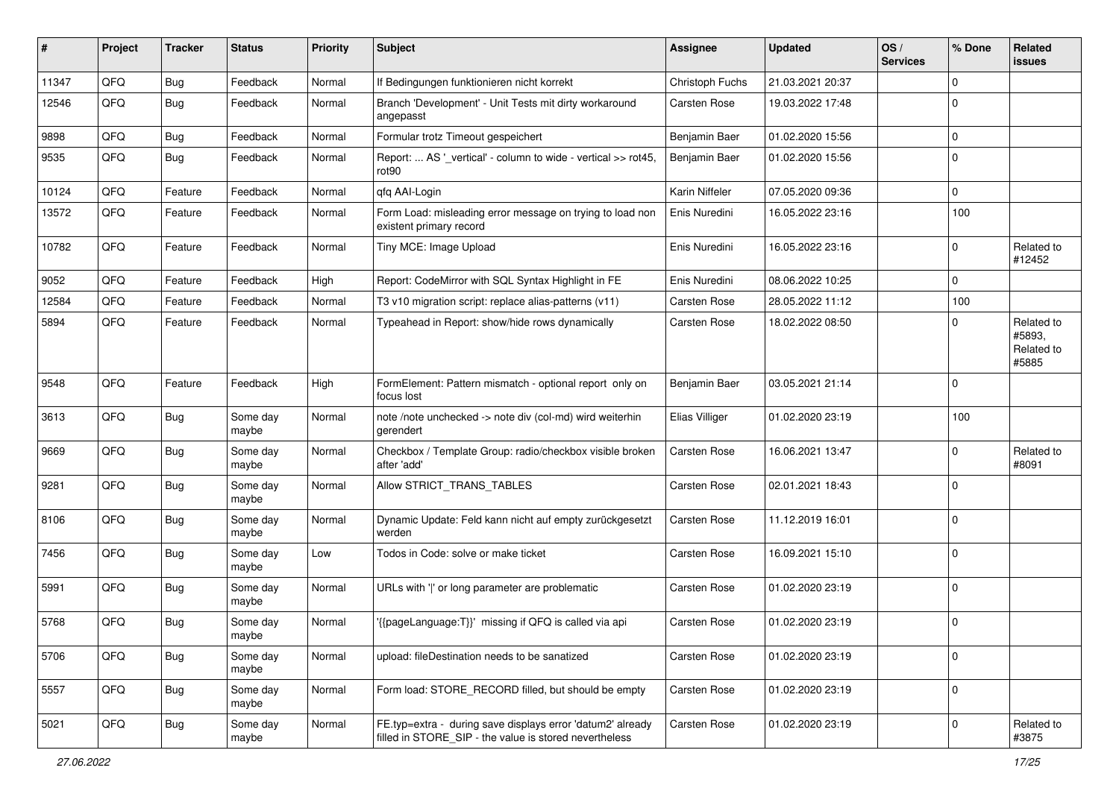| #     | Project | <b>Tracker</b> | <b>Status</b>     | <b>Priority</b> | Subject                                                                                                              | <b>Assignee</b> | <b>Updated</b>   | OS/<br><b>Services</b> | % Done      | Related<br>issues                           |
|-------|---------|----------------|-------------------|-----------------|----------------------------------------------------------------------------------------------------------------------|-----------------|------------------|------------------------|-------------|---------------------------------------------|
| 11347 | QFQ     | <b>Bug</b>     | Feedback          | Normal          | If Bedingungen funktionieren nicht korrekt                                                                           | Christoph Fuchs | 21.03.2021 20:37 |                        | $\mathbf 0$ |                                             |
| 12546 | QFQ     | <b>Bug</b>     | Feedback          | Normal          | Branch 'Development' - Unit Tests mit dirty workaround<br>angepasst                                                  | Carsten Rose    | 19.03.2022 17:48 |                        | $\mathbf 0$ |                                             |
| 9898  | QFQ     | Bug            | Feedback          | Normal          | Formular trotz Timeout gespeichert                                                                                   | Benjamin Baer   | 01.02.2020 15:56 |                        | $\mathbf 0$ |                                             |
| 9535  | QFQ     | <b>Bug</b>     | Feedback          | Normal          | Report:  AS '_vertical' - column to wide - vertical >> rot45,<br>rot90                                               | Benjamin Baer   | 01.02.2020 15:56 |                        | $\mathbf 0$ |                                             |
| 10124 | QFQ     | Feature        | Feedback          | Normal          | qfq AAI-Login                                                                                                        | Karin Niffeler  | 07.05.2020 09:36 |                        | $\mathbf 0$ |                                             |
| 13572 | QFQ     | Feature        | Feedback          | Normal          | Form Load: misleading error message on trying to load non<br>existent primary record                                 | Enis Nuredini   | 16.05.2022 23:16 |                        | 100         |                                             |
| 10782 | QFQ     | Feature        | Feedback          | Normal          | Tiny MCE: Image Upload                                                                                               | Enis Nuredini   | 16.05.2022 23:16 |                        | 0           | Related to<br>#12452                        |
| 9052  | QFQ     | Feature        | Feedback          | High            | Report: CodeMirror with SQL Syntax Highlight in FE                                                                   | Enis Nuredini   | 08.06.2022 10:25 |                        | $\mathbf 0$ |                                             |
| 12584 | QFQ     | Feature        | Feedback          | Normal          | T3 v10 migration script: replace alias-patterns (v11)                                                                | Carsten Rose    | 28.05.2022 11:12 |                        | 100         |                                             |
| 5894  | QFQ     | Feature        | Feedback          | Normal          | Typeahead in Report: show/hide rows dynamically                                                                      | Carsten Rose    | 18.02.2022 08:50 |                        | $\mathbf 0$ | Related to<br>#5893,<br>Related to<br>#5885 |
| 9548  | QFQ     | Feature        | Feedback          | High            | FormElement: Pattern mismatch - optional report only on<br>focus lost                                                | Benjamin Baer   | 03.05.2021 21:14 |                        | $\mathbf 0$ |                                             |
| 3613  | QFQ     | Bug            | Some day<br>maybe | Normal          | note /note unchecked -> note div (col-md) wird weiterhin<br>gerendert                                                | Elias Villiger  | 01.02.2020 23:19 |                        | 100         |                                             |
| 9669  | QFQ     | Bug            | Some day<br>maybe | Normal          | Checkbox / Template Group: radio/checkbox visible broken<br>after 'add'                                              | Carsten Rose    | 16.06.2021 13:47 |                        | $\mathbf 0$ | Related to<br>#8091                         |
| 9281  | QFQ     | <b>Bug</b>     | Some day<br>maybe | Normal          | Allow STRICT_TRANS_TABLES                                                                                            | Carsten Rose    | 02.01.2021 18:43 |                        | 0           |                                             |
| 8106  | QFQ     | Bug            | Some day<br>maybe | Normal          | Dynamic Update: Feld kann nicht auf empty zurückgesetzt<br>werden                                                    | Carsten Rose    | 11.12.2019 16:01 |                        | $\mathbf 0$ |                                             |
| 7456  | QFQ     | <b>Bug</b>     | Some day<br>maybe | Low             | Todos in Code: solve or make ticket                                                                                  | Carsten Rose    | 16.09.2021 15:10 |                        | 0           |                                             |
| 5991  | QFQ     | <b>Bug</b>     | Some day<br>maybe | Normal          | URLs with ' ' or long parameter are problematic                                                                      | Carsten Rose    | 01.02.2020 23:19 |                        | $\mathbf 0$ |                                             |
| 5768  | QFQ     | <b>Bug</b>     | Some day<br>maybe | Normal          | '{{pageLanguage:T}}' missing if QFQ is called via api                                                                | Carsten Rose    | 01.02.2020 23:19 |                        | $\mathbf 0$ |                                             |
| 5706  | QFQ     | Bug            | Some day<br>maybe | Normal          | upload: fileDestination needs to be sanatized                                                                        | Carsten Rose    | 01.02.2020 23:19 |                        | 0           |                                             |
| 5557  | QFQ     | Bug            | Some day<br>maybe | Normal          | Form load: STORE_RECORD filled, but should be empty                                                                  | Carsten Rose    | 01.02.2020 23:19 |                        | 0           |                                             |
| 5021  | QFQ     | <b>Bug</b>     | Some day<br>maybe | Normal          | FE.typ=extra - during save displays error 'datum2' already<br>filled in STORE_SIP - the value is stored nevertheless | Carsten Rose    | 01.02.2020 23:19 |                        | $\mathbf 0$ | Related to<br>#3875                         |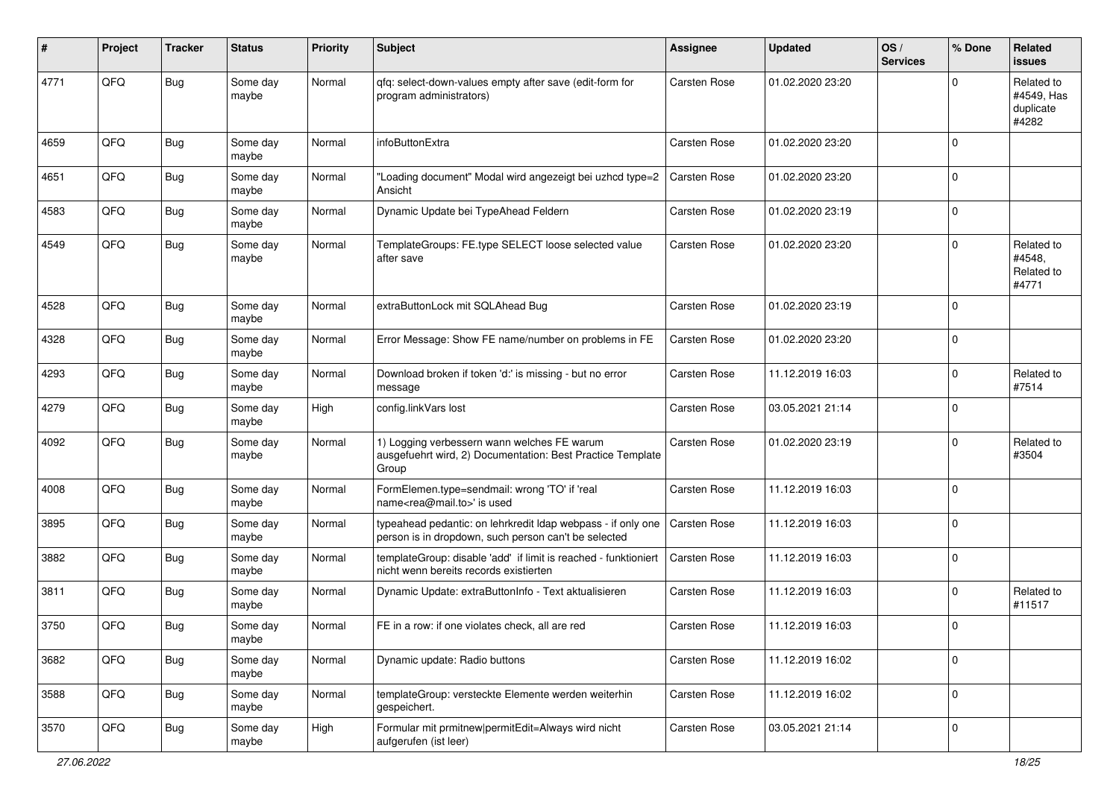| #    | Project | <b>Tracker</b> | <b>Status</b>     | <b>Priority</b> | <b>Subject</b>                                                                                                       | Assignee            | <b>Updated</b>   | OS/<br><b>Services</b> | % Done      | Related<br><b>issues</b>                       |
|------|---------|----------------|-------------------|-----------------|----------------------------------------------------------------------------------------------------------------------|---------------------|------------------|------------------------|-------------|------------------------------------------------|
| 4771 | QFQ     | <b>Bug</b>     | Some day<br>maybe | Normal          | qfq: select-down-values empty after save (edit-form for<br>program administrators)                                   | Carsten Rose        | 01.02.2020 23:20 |                        | $\Omega$    | Related to<br>#4549, Has<br>duplicate<br>#4282 |
| 4659 | QFQ     | <b>Bug</b>     | Some day<br>maybe | Normal          | infoButtonExtra                                                                                                      | Carsten Rose        | 01.02.2020 23:20 |                        | $\Omega$    |                                                |
| 4651 | QFQ     | <b>Bug</b>     | Some day<br>maybe | Normal          | "Loading document" Modal wird angezeigt bei uzhcd type=2<br>Ansicht                                                  | <b>Carsten Rose</b> | 01.02.2020 23:20 |                        | $\Omega$    |                                                |
| 4583 | QFQ     | <b>Bug</b>     | Some day<br>maybe | Normal          | Dynamic Update bei TypeAhead Feldern                                                                                 | <b>Carsten Rose</b> | 01.02.2020 23:19 |                        | $\mathbf 0$ |                                                |
| 4549 | QFQ     | Bug            | Some day<br>maybe | Normal          | TemplateGroups: FE.type SELECT loose selected value<br>after save                                                    | Carsten Rose        | 01.02.2020 23:20 |                        | $\mathbf 0$ | Related to<br>#4548,<br>Related to<br>#4771    |
| 4528 | QFQ     | <b>Bug</b>     | Some day<br>maybe | Normal          | extraButtonLock mit SQLAhead Bug                                                                                     | Carsten Rose        | 01.02.2020 23:19 |                        | $\mathbf 0$ |                                                |
| 4328 | QFQ     | Bug            | Some day<br>maybe | Normal          | Error Message: Show FE name/number on problems in FE                                                                 | Carsten Rose        | 01.02.2020 23:20 |                        | $\mathbf 0$ |                                                |
| 4293 | QFQ     | Bug            | Some day<br>maybe | Normal          | Download broken if token 'd:' is missing - but no error<br>message                                                   | Carsten Rose        | 11.12.2019 16:03 |                        | $\Omega$    | Related to<br>#7514                            |
| 4279 | QFQ     | <b>Bug</b>     | Some day<br>maybe | High            | config.linkVars lost                                                                                                 | Carsten Rose        | 03.05.2021 21:14 |                        | $\Omega$    |                                                |
| 4092 | QFQ     | Bug            | Some day<br>maybe | Normal          | 1) Logging verbessern wann welches FE warum<br>ausgefuehrt wird, 2) Documentation: Best Practice Template<br>Group   | Carsten Rose        | 01.02.2020 23:19 |                        | $\mathbf 0$ | Related to<br>#3504                            |
| 4008 | QFQ     | <b>Bug</b>     | Some day<br>maybe | Normal          | FormElemen.type=sendmail: wrong 'TO' if 'real<br>name <rea@mail.to>' is used</rea@mail.to>                           | Carsten Rose        | 11.12.2019 16:03 |                        | $\Omega$    |                                                |
| 3895 | QFQ     | Bug            | Some day<br>maybe | Normal          | typeahead pedantic: on lehrkredit ldap webpass - if only one<br>person is in dropdown, such person can't be selected | Carsten Rose        | 11.12.2019 16:03 |                        | $\Omega$    |                                                |
| 3882 | QFQ     | <b>Bug</b>     | Some day<br>maybe | Normal          | templateGroup: disable 'add' if limit is reached - funktioniert<br>nicht wenn bereits records existierten            | Carsten Rose        | 11.12.2019 16:03 |                        | $\Omega$    |                                                |
| 3811 | QFQ     | <b>Bug</b>     | Some day<br>maybe | Normal          | Dynamic Update: extraButtonInfo - Text aktualisieren                                                                 | <b>Carsten Rose</b> | 11.12.2019 16:03 |                        | $\mathbf 0$ | Related to<br>#11517                           |
| 3750 | QFQ     | Bug            | Some day<br>maybe | Normal          | FE in a row: if one violates check, all are red                                                                      | <b>Carsten Rose</b> | 11.12.2019 16:03 |                        | $\mathbf 0$ |                                                |
| 3682 | QFQ     | <b>Bug</b>     | Some day<br>maybe | Normal          | Dynamic update: Radio buttons                                                                                        | Carsten Rose        | 11.12.2019 16:02 |                        | $\Omega$    |                                                |
| 3588 | QFQ     | Bug            | Some day<br>maybe | Normal          | templateGroup: versteckte Elemente werden weiterhin<br>gespeichert.                                                  | Carsten Rose        | 11.12.2019 16:02 |                        | $\mathbf 0$ |                                                |
| 3570 | QFQ     | <b>Bug</b>     | Some day<br>maybe | High            | Formular mit prmitnew permitEdit=Always wird nicht<br>aufgerufen (ist leer)                                          | Carsten Rose        | 03.05.2021 21:14 |                        | $\mathbf 0$ |                                                |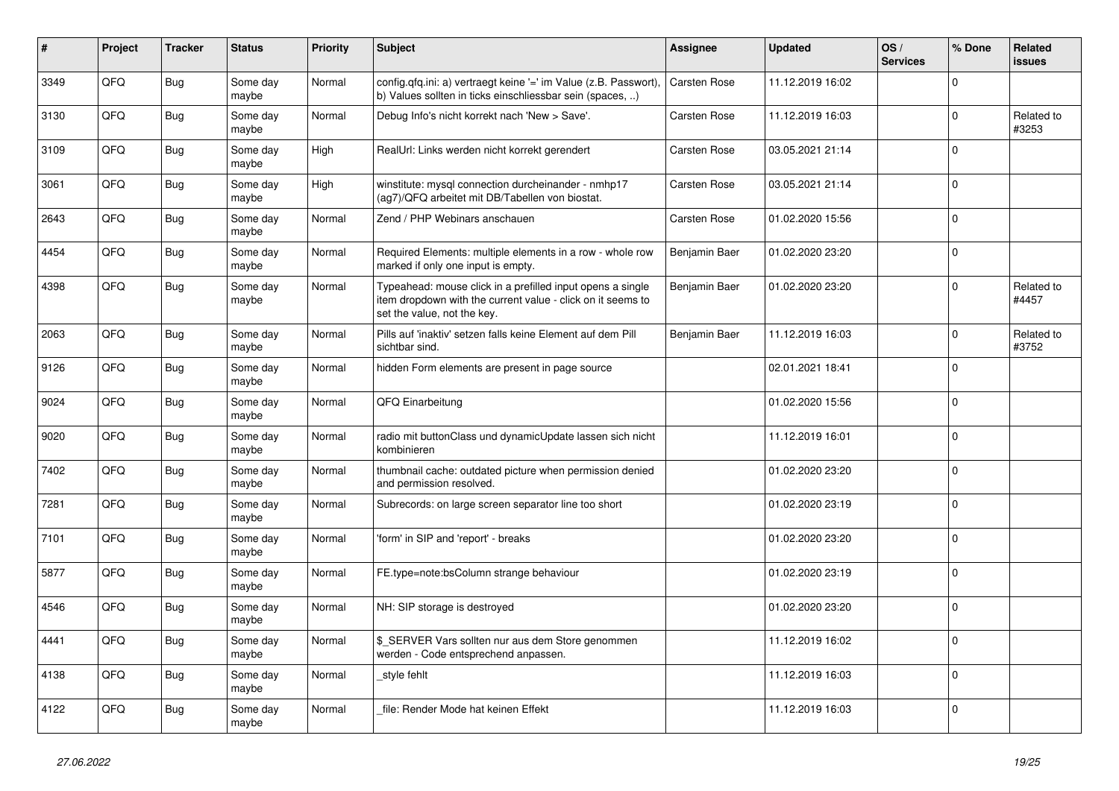| #    | Project | <b>Tracker</b> | <b>Status</b>     | <b>Priority</b> | <b>Subject</b>                                                                                                                                           | <b>Assignee</b> | <b>Updated</b>   | OS/<br><b>Services</b> | % Done              | <b>Related</b><br><b>issues</b> |
|------|---------|----------------|-------------------|-----------------|----------------------------------------------------------------------------------------------------------------------------------------------------------|-----------------|------------------|------------------------|---------------------|---------------------------------|
| 3349 | QFQ     | <b>Bug</b>     | Some day<br>maybe | Normal          | config.qfq.ini: a) vertraegt keine '=' im Value (z.B. Passwort),<br>b) Values sollten in ticks einschliessbar sein (spaces, )                            | Carsten Rose    | 11.12.2019 16:02 |                        | $\mathbf 0$         |                                 |
| 3130 | QFQ     | <b>Bug</b>     | Some day<br>maybe | Normal          | Debug Info's nicht korrekt nach 'New > Save'.                                                                                                            | Carsten Rose    | 11.12.2019 16:03 |                        | $\Omega$            | Related to<br>#3253             |
| 3109 | QFQ     | <b>Bug</b>     | Some day<br>maybe | High            | RealUrl: Links werden nicht korrekt gerendert                                                                                                            | Carsten Rose    | 03.05.2021 21:14 |                        | $\Omega$            |                                 |
| 3061 | QFQ     | <b>Bug</b>     | Some day<br>maybe | High            | winstitute: mysql connection durcheinander - nmhp17<br>(ag7)/QFQ arbeitet mit DB/Tabellen von biostat.                                                   | Carsten Rose    | 03.05.2021 21:14 |                        | $\mathbf 0$         |                                 |
| 2643 | QFQ     | <b>Bug</b>     | Some day<br>maybe | Normal          | Zend / PHP Webinars anschauen                                                                                                                            | Carsten Rose    | 01.02.2020 15:56 |                        | $\Omega$            |                                 |
| 4454 | QFQ     | Bug            | Some day<br>maybe | Normal          | Required Elements: multiple elements in a row - whole row<br>marked if only one input is empty.                                                          | Benjamin Baer   | 01.02.2020 23:20 |                        | $\mathbf 0$         |                                 |
| 4398 | QFQ     | <b>Bug</b>     | Some day<br>maybe | Normal          | Typeahead: mouse click in a prefilled input opens a single<br>item dropdown with the current value - click on it seems to<br>set the value, not the key. | Benjamin Baer   | 01.02.2020 23:20 |                        | $\Omega$            | Related to<br>#4457             |
| 2063 | QFQ     | <b>Bug</b>     | Some day<br>maybe | Normal          | Pills auf 'inaktiv' setzen falls keine Element auf dem Pill<br>sichtbar sind.                                                                            | Benjamin Baer   | 11.12.2019 16:03 |                        | $\mathbf 0$         | Related to<br>#3752             |
| 9126 | QFQ     | Bug            | Some day<br>maybe | Normal          | hidden Form elements are present in page source                                                                                                          |                 | 02.01.2021 18:41 |                        | $\mathbf 0$         |                                 |
| 9024 | QFQ     | <b>Bug</b>     | Some day<br>maybe | Normal          | QFQ Einarbeitung                                                                                                                                         |                 | 01.02.2020 15:56 |                        | $\mathbf 0$         |                                 |
| 9020 | QFQ     | <b>Bug</b>     | Some day<br>maybe | Normal          | radio mit buttonClass und dynamicUpdate lassen sich nicht<br>kombinieren                                                                                 |                 | 11.12.2019 16:01 |                        | $\Omega$            |                                 |
| 7402 | QFQ     | Bug            | Some day<br>maybe | Normal          | thumbnail cache: outdated picture when permission denied<br>and permission resolved.                                                                     |                 | 01.02.2020 23:20 |                        | $\mathbf 0$         |                                 |
| 7281 | QFQ     | <b>Bug</b>     | Some day<br>maybe | Normal          | Subrecords: on large screen separator line too short                                                                                                     |                 | 01.02.2020 23:19 |                        | $\Omega$            |                                 |
| 7101 | QFQ     | Bug            | Some day<br>maybe | Normal          | 'form' in SIP and 'report' - breaks                                                                                                                      |                 | 01.02.2020 23:20 |                        | $\mathbf 0$         |                                 |
| 5877 | QFQ     | <b>Bug</b>     | Some day<br>maybe | Normal          | FE.type=note:bsColumn strange behaviour                                                                                                                  |                 | 01.02.2020 23:19 |                        | $\mathsf{O}\xspace$ |                                 |
| 4546 | QFQ     | <b>Bug</b>     | Some day<br>maybe | Normal          | NH: SIP storage is destroyed                                                                                                                             |                 | 01.02.2020 23:20 |                        | $\Omega$            |                                 |
| 4441 | QFQ     | Bug            | Some day<br>maybe | Normal          | \$ SERVER Vars sollten nur aus dem Store genommen<br>werden - Code entsprechend anpassen.                                                                |                 | 11.12.2019 16:02 |                        | $\Omega$            |                                 |
| 4138 | QFQ     | <b>Bug</b>     | Some day<br>maybe | Normal          | style fehlt                                                                                                                                              |                 | 11.12.2019 16:03 |                        | $\mathbf 0$         |                                 |
| 4122 | QFQ     | <b>Bug</b>     | Some day<br>maybe | Normal          | file: Render Mode hat keinen Effekt                                                                                                                      |                 | 11.12.2019 16:03 |                        | $\mathbf 0$         |                                 |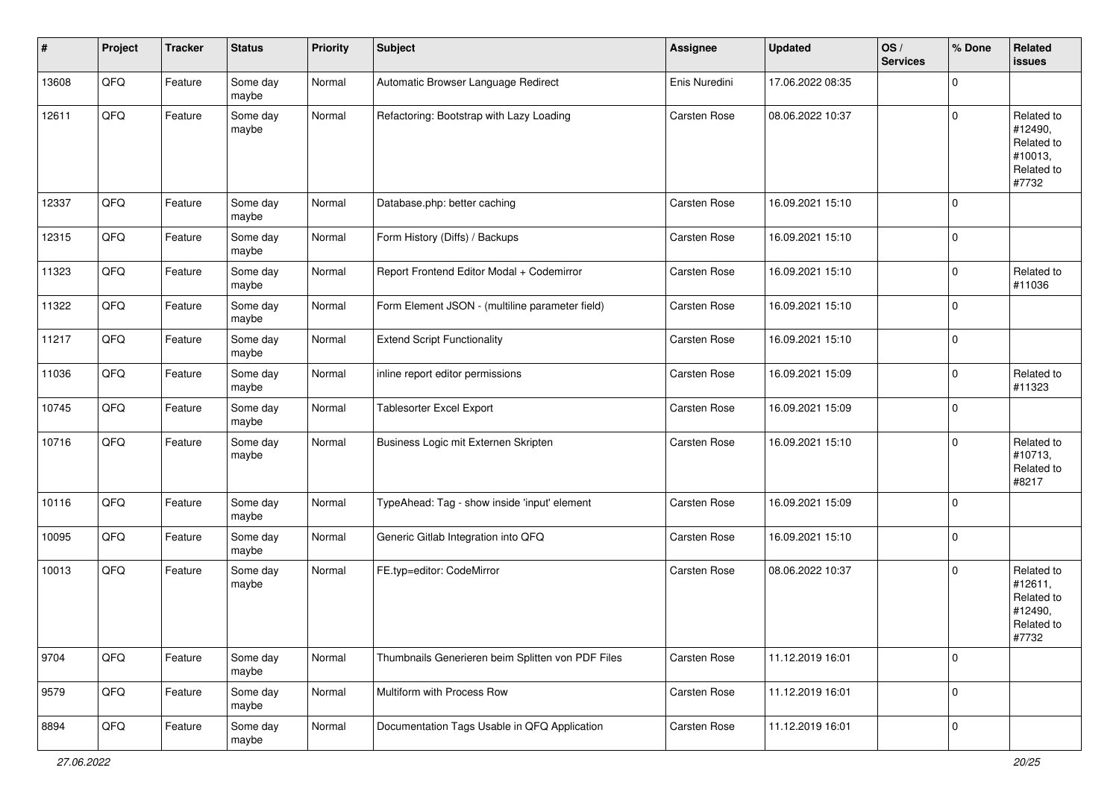| #     | Project | <b>Tracker</b> | <b>Status</b>     | <b>Priority</b> | <b>Subject</b>                                    | Assignee            | <b>Updated</b>   | OS/<br><b>Services</b> | % Done      | Related<br><b>issues</b>                                              |
|-------|---------|----------------|-------------------|-----------------|---------------------------------------------------|---------------------|------------------|------------------------|-------------|-----------------------------------------------------------------------|
| 13608 | QFQ     | Feature        | Some day<br>maybe | Normal          | Automatic Browser Language Redirect               | Enis Nuredini       | 17.06.2022 08:35 |                        | $\Omega$    |                                                                       |
| 12611 | QFQ     | Feature        | Some day<br>maybe | Normal          | Refactoring: Bootstrap with Lazy Loading          | Carsten Rose        | 08.06.2022 10:37 |                        | $\mathbf 0$ | Related to<br>#12490,<br>Related to<br>#10013,<br>Related to<br>#7732 |
| 12337 | QFQ     | Feature        | Some day<br>maybe | Normal          | Database.php: better caching                      | <b>Carsten Rose</b> | 16.09.2021 15:10 |                        | $\mathbf 0$ |                                                                       |
| 12315 | QFQ     | Feature        | Some day<br>maybe | Normal          | Form History (Diffs) / Backups                    | Carsten Rose        | 16.09.2021 15:10 |                        | $\mathbf 0$ |                                                                       |
| 11323 | QFQ     | Feature        | Some day<br>maybe | Normal          | Report Frontend Editor Modal + Codemirror         | Carsten Rose        | 16.09.2021 15:10 |                        | $\mathbf 0$ | Related to<br>#11036                                                  |
| 11322 | QFQ     | Feature        | Some day<br>maybe | Normal          | Form Element JSON - (multiline parameter field)   | Carsten Rose        | 16.09.2021 15:10 |                        | $\mathbf 0$ |                                                                       |
| 11217 | QFQ     | Feature        | Some day<br>maybe | Normal          | <b>Extend Script Functionality</b>                | Carsten Rose        | 16.09.2021 15:10 |                        | $\mathbf 0$ |                                                                       |
| 11036 | QFQ     | Feature        | Some day<br>maybe | Normal          | inline report editor permissions                  | Carsten Rose        | 16.09.2021 15:09 |                        | $\mathbf 0$ | Related to<br>#11323                                                  |
| 10745 | QFQ     | Feature        | Some day<br>maybe | Normal          | Tablesorter Excel Export                          | Carsten Rose        | 16.09.2021 15:09 |                        | $\mathbf 0$ |                                                                       |
| 10716 | QFQ     | Feature        | Some day<br>maybe | Normal          | Business Logic mit Externen Skripten              | Carsten Rose        | 16.09.2021 15:10 |                        | $\mathbf 0$ | Related to<br>#10713,<br>Related to<br>#8217                          |
| 10116 | QFQ     | Feature        | Some day<br>maybe | Normal          | TypeAhead: Tag - show inside 'input' element      | Carsten Rose        | 16.09.2021 15:09 |                        | $\mathbf 0$ |                                                                       |
| 10095 | QFQ     | Feature        | Some day<br>maybe | Normal          | Generic Gitlab Integration into QFQ               | Carsten Rose        | 16.09.2021 15:10 |                        | $\mathbf 0$ |                                                                       |
| 10013 | QFQ     | Feature        | Some day<br>maybe | Normal          | FE.typ=editor: CodeMirror                         | Carsten Rose        | 08.06.2022 10:37 |                        | $\mathbf 0$ | Related to<br>#12611,<br>Related to<br>#12490,<br>Related to<br>#7732 |
| 9704  | QFQ     | Feature        | Some day<br>maybe | Normal          | Thumbnails Generieren beim Splitten von PDF Files | Carsten Rose        | 11.12.2019 16:01 |                        | $\mathbf 0$ |                                                                       |
| 9579  | QFQ     | Feature        | Some day<br>maybe | Normal          | Multiform with Process Row                        | Carsten Rose        | 11.12.2019 16:01 |                        | $\mathbf 0$ |                                                                       |
| 8894  | QFQ     | Feature        | Some day<br>maybe | Normal          | Documentation Tags Usable in QFQ Application      | Carsten Rose        | 11.12.2019 16:01 |                        | $\mathbf 0$ |                                                                       |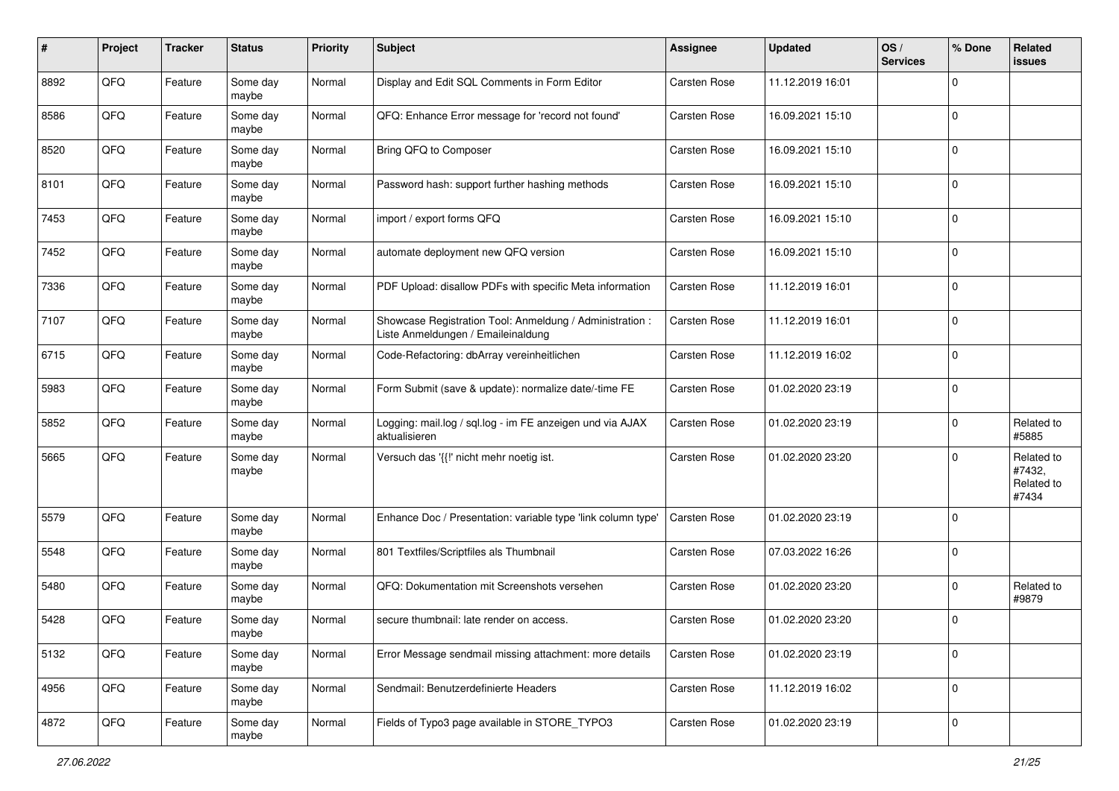| #    | Project | <b>Tracker</b> | <b>Status</b>     | <b>Priority</b> | <b>Subject</b>                                                                                 | Assignee            | <b>Updated</b>   | OS/<br><b>Services</b> | % Done      | <b>Related</b><br>issues                    |
|------|---------|----------------|-------------------|-----------------|------------------------------------------------------------------------------------------------|---------------------|------------------|------------------------|-------------|---------------------------------------------|
| 8892 | QFQ     | Feature        | Some day<br>maybe | Normal          | Display and Edit SQL Comments in Form Editor                                                   | <b>Carsten Rose</b> | 11.12.2019 16:01 |                        | $\mathbf 0$ |                                             |
| 8586 | QFQ     | Feature        | Some day<br>maybe | Normal          | QFQ: Enhance Error message for 'record not found'                                              | Carsten Rose        | 16.09.2021 15:10 |                        | $\mathbf 0$ |                                             |
| 8520 | QFQ     | Feature        | Some day<br>maybe | Normal          | Bring QFQ to Composer                                                                          | Carsten Rose        | 16.09.2021 15:10 |                        | $\mathbf 0$ |                                             |
| 8101 | QFQ     | Feature        | Some day<br>maybe | Normal          | Password hash: support further hashing methods                                                 | Carsten Rose        | 16.09.2021 15:10 |                        | $\mathbf 0$ |                                             |
| 7453 | QFQ     | Feature        | Some day<br>maybe | Normal          | import / export forms QFQ                                                                      | Carsten Rose        | 16.09.2021 15:10 |                        | $\mathbf 0$ |                                             |
| 7452 | QFQ     | Feature        | Some day<br>maybe | Normal          | automate deployment new QFQ version                                                            | Carsten Rose        | 16.09.2021 15:10 |                        | $\mathbf 0$ |                                             |
| 7336 | QFQ     | Feature        | Some day<br>maybe | Normal          | PDF Upload: disallow PDFs with specific Meta information                                       | Carsten Rose        | 11.12.2019 16:01 |                        | $\mathbf 0$ |                                             |
| 7107 | QFQ     | Feature        | Some day<br>maybe | Normal          | Showcase Registration Tool: Anmeldung / Administration :<br>Liste Anmeldungen / Emaileinaldung | Carsten Rose        | 11.12.2019 16:01 |                        | $\mathbf 0$ |                                             |
| 6715 | QFQ     | Feature        | Some day<br>maybe | Normal          | Code-Refactoring: dbArray vereinheitlichen                                                     | Carsten Rose        | 11.12.2019 16:02 |                        | $\mathbf 0$ |                                             |
| 5983 | QFQ     | Feature        | Some day<br>maybe | Normal          | Form Submit (save & update): normalize date/-time FE                                           | Carsten Rose        | 01.02.2020 23:19 |                        | $\mathbf 0$ |                                             |
| 5852 | QFQ     | Feature        | Some day<br>maybe | Normal          | Logging: mail.log / sql.log - im FE anzeigen und via AJAX<br>aktualisieren                     | Carsten Rose        | 01.02.2020 23:19 |                        | $\mathbf 0$ | Related to<br>#5885                         |
| 5665 | QFQ     | Feature        | Some day<br>maybe | Normal          | Versuch das '{{!' nicht mehr noetig ist.                                                       | Carsten Rose        | 01.02.2020 23:20 |                        | $\mathbf 0$ | Related to<br>#7432,<br>Related to<br>#7434 |
| 5579 | QFQ     | Feature        | Some day<br>maybe | Normal          | Enhance Doc / Presentation: variable type 'link column type'                                   | Carsten Rose        | 01.02.2020 23:19 |                        | $\mathbf 0$ |                                             |
| 5548 | QFQ     | Feature        | Some day<br>maybe | Normal          | 801 Textfiles/Scriptfiles als Thumbnail                                                        | Carsten Rose        | 07.03.2022 16:26 |                        | $\mathbf 0$ |                                             |
| 5480 | QFQ     | Feature        | Some day<br>maybe | Normal          | QFQ: Dokumentation mit Screenshots versehen                                                    | Carsten Rose        | 01.02.2020 23:20 |                        | $\mathbf 0$ | Related to<br>#9879                         |
| 5428 | QFQ     | Feature        | Some day<br>maybe | Normal          | secure thumbnail: late render on access.                                                       | Carsten Rose        | 01.02.2020 23:20 |                        | $\mathbf 0$ |                                             |
| 5132 | QFQ     | Feature        | Some day<br>maybe | Normal          | Error Message sendmail missing attachment: more details                                        | Carsten Rose        | 01.02.2020 23:19 |                        | $\mathbf 0$ |                                             |
| 4956 | QFQ     | Feature        | Some day<br>maybe | Normal          | Sendmail: Benutzerdefinierte Headers                                                           | Carsten Rose        | 11.12.2019 16:02 |                        | $\mathbf 0$ |                                             |
| 4872 | QFQ     | Feature        | Some day<br>maybe | Normal          | Fields of Typo3 page available in STORE_TYPO3                                                  | Carsten Rose        | 01.02.2020 23:19 |                        | $\mathbf 0$ |                                             |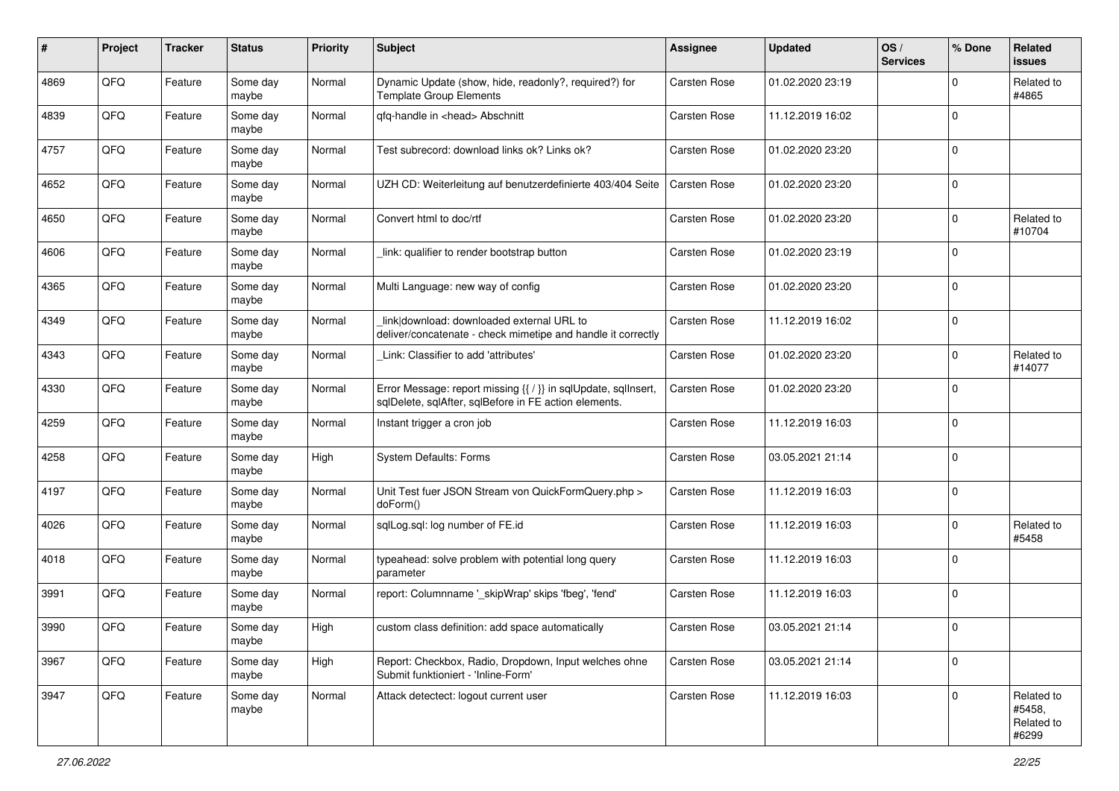| #    | Project | <b>Tracker</b> | <b>Status</b>     | <b>Priority</b> | <b>Subject</b>                                                                                                          | Assignee            | <b>Updated</b>   | OS/<br><b>Services</b> | % Done      | <b>Related</b><br><b>issues</b>             |
|------|---------|----------------|-------------------|-----------------|-------------------------------------------------------------------------------------------------------------------------|---------------------|------------------|------------------------|-------------|---------------------------------------------|
| 4869 | QFQ     | Feature        | Some day<br>maybe | Normal          | Dynamic Update (show, hide, readonly?, required?) for<br><b>Template Group Elements</b>                                 | Carsten Rose        | 01.02.2020 23:19 |                        | $\Omega$    | Related to<br>#4865                         |
| 4839 | QFQ     | Feature        | Some day<br>maybe | Normal          | qfq-handle in <head> Abschnitt</head>                                                                                   | Carsten Rose        | 11.12.2019 16:02 |                        | $\mathbf 0$ |                                             |
| 4757 | QFQ     | Feature        | Some day<br>maybe | Normal          | Test subrecord: download links ok? Links ok?                                                                            | Carsten Rose        | 01.02.2020 23:20 |                        | $\mathbf 0$ |                                             |
| 4652 | QFQ     | Feature        | Some day<br>maybe | Normal          | UZH CD: Weiterleitung auf benutzerdefinierte 403/404 Seite                                                              | Carsten Rose        | 01.02.2020 23:20 |                        | $\mathbf 0$ |                                             |
| 4650 | QFQ     | Feature        | Some day<br>maybe | Normal          | Convert html to doc/rtf                                                                                                 | Carsten Rose        | 01.02.2020 23:20 |                        | $\mathbf 0$ | Related to<br>#10704                        |
| 4606 | QFQ     | Feature        | Some day<br>maybe | Normal          | link: qualifier to render bootstrap button                                                                              | Carsten Rose        | 01.02.2020 23:19 |                        | $\Omega$    |                                             |
| 4365 | QFQ     | Feature        | Some day<br>maybe | Normal          | Multi Language: new way of config                                                                                       | Carsten Rose        | 01.02.2020 23:20 |                        | $\mathbf 0$ |                                             |
| 4349 | QFQ     | Feature        | Some day<br>maybe | Normal          | link download: downloaded external URL to<br>deliver/concatenate - check mimetipe and handle it correctly               | <b>Carsten Rose</b> | 11.12.2019 16:02 |                        | $\mathbf 0$ |                                             |
| 4343 | QFQ     | Feature        | Some day<br>maybe | Normal          | Link: Classifier to add 'attributes'                                                                                    | Carsten Rose        | 01.02.2020 23:20 |                        | $\mathbf 0$ | Related to<br>#14077                        |
| 4330 | QFQ     | Feature        | Some day<br>maybe | Normal          | Error Message: report missing {{ / }} in sqlUpdate, sqlInsert,<br>sqlDelete, sqlAfter, sqlBefore in FE action elements. | Carsten Rose        | 01.02.2020 23:20 |                        | $\mathbf 0$ |                                             |
| 4259 | QFQ     | Feature        | Some day<br>maybe | Normal          | Instant trigger a cron job                                                                                              | Carsten Rose        | 11.12.2019 16:03 |                        | $\mathbf 0$ |                                             |
| 4258 | QFQ     | Feature        | Some day<br>maybe | High            | System Defaults: Forms                                                                                                  | Carsten Rose        | 03.05.2021 21:14 |                        | $\mathbf 0$ |                                             |
| 4197 | QFQ     | Feature        | Some day<br>maybe | Normal          | Unit Test fuer JSON Stream von QuickFormQuery.php ><br>doForm()                                                         | Carsten Rose        | 11.12.2019 16:03 |                        | $\mathbf 0$ |                                             |
| 4026 | QFQ     | Feature        | Some day<br>maybe | Normal          | sqlLog.sql: log number of FE.id                                                                                         | Carsten Rose        | 11.12.2019 16:03 |                        | $\mathbf 0$ | Related to<br>#5458                         |
| 4018 | QFQ     | Feature        | Some day<br>maybe | Normal          | typeahead: solve problem with potential long query<br>parameter                                                         | Carsten Rose        | 11.12.2019 16:03 |                        | $\mathbf 0$ |                                             |
| 3991 | QFQ     | Feature        | Some day<br>maybe | Normal          | report: Columnname '_skipWrap' skips 'fbeg', 'fend'                                                                     | Carsten Rose        | 11.12.2019 16:03 |                        | $\mathbf 0$ |                                             |
| 3990 | QFQ     | Feature        | Some day<br>maybe | High            | custom class definition: add space automatically                                                                        | <b>Carsten Rose</b> | 03.05.2021 21:14 |                        | $\Omega$    |                                             |
| 3967 | QFQ     | Feature        | Some day<br>maybe | High            | Report: Checkbox, Radio, Dropdown, Input welches ohne<br>Submit funktioniert - 'Inline-Form'                            | Carsten Rose        | 03.05.2021 21:14 |                        | $\mathbf 0$ |                                             |
| 3947 | QFQ     | Feature        | Some day<br>maybe | Normal          | Attack detectect: logout current user                                                                                   | Carsten Rose        | 11.12.2019 16:03 |                        | $\mathbf 0$ | Related to<br>#5458,<br>Related to<br>#6299 |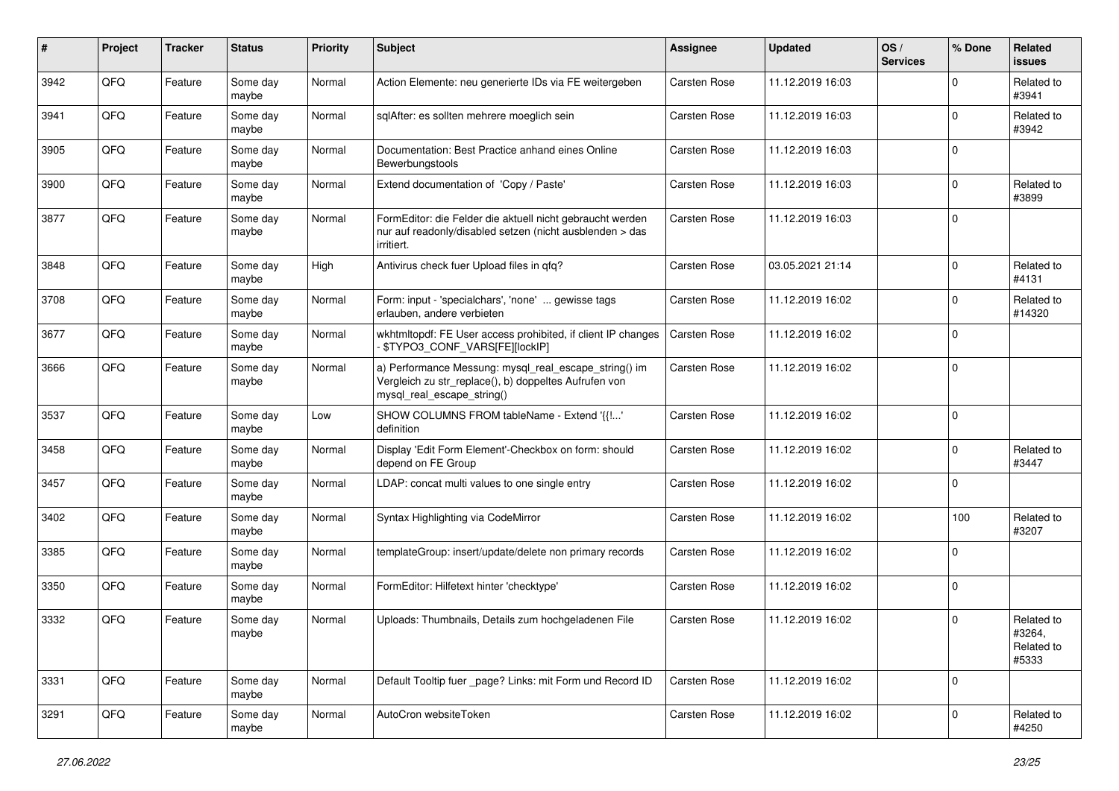| $\pmb{\#}$ | Project | <b>Tracker</b> | <b>Status</b>     | <b>Priority</b> | <b>Subject</b>                                                                                                                               | Assignee            | <b>Updated</b>   | OS/<br><b>Services</b> | % Done      | Related<br>issues                           |
|------------|---------|----------------|-------------------|-----------------|----------------------------------------------------------------------------------------------------------------------------------------------|---------------------|------------------|------------------------|-------------|---------------------------------------------|
| 3942       | QFQ     | Feature        | Some day<br>maybe | Normal          | Action Elemente: neu generierte IDs via FE weitergeben                                                                                       | <b>Carsten Rose</b> | 11.12.2019 16:03 |                        | $\Omega$    | Related to<br>#3941                         |
| 3941       | QFQ     | Feature        | Some day<br>maybe | Normal          | sglAfter: es sollten mehrere moeglich sein                                                                                                   | <b>Carsten Rose</b> | 11.12.2019 16:03 |                        | $\Omega$    | Related to<br>#3942                         |
| 3905       | QFQ     | Feature        | Some day<br>maybe | Normal          | Documentation: Best Practice anhand eines Online<br>Bewerbungstools                                                                          | <b>Carsten Rose</b> | 11.12.2019 16:03 |                        | $\Omega$    |                                             |
| 3900       | QFQ     | Feature        | Some day<br>maybe | Normal          | Extend documentation of 'Copy / Paste'                                                                                                       | Carsten Rose        | 11.12.2019 16:03 |                        | $\mathbf 0$ | Related to<br>#3899                         |
| 3877       | QFQ     | Feature        | Some day<br>maybe | Normal          | FormEditor: die Felder die aktuell nicht gebraucht werden<br>nur auf readonly/disabled setzen (nicht ausblenden > das<br>irritiert.          | <b>Carsten Rose</b> | 11.12.2019 16:03 |                        | $\Omega$    |                                             |
| 3848       | QFQ     | Feature        | Some day<br>maybe | High            | Antivirus check fuer Upload files in qfq?                                                                                                    | Carsten Rose        | 03.05.2021 21:14 |                        | $\Omega$    | Related to<br>#4131                         |
| 3708       | QFQ     | Feature        | Some day<br>maybe | Normal          | Form: input - 'specialchars', 'none'  gewisse tags<br>erlauben, andere verbieten                                                             | Carsten Rose        | 11.12.2019 16:02 |                        | $\mathbf 0$ | Related to<br>#14320                        |
| 3677       | QFQ     | Feature        | Some day<br>maybe | Normal          | wkhtmltopdf: FE User access prohibited, if client IP changes<br>\$TYPO3_CONF_VARS[FE][lockIP]                                                | <b>Carsten Rose</b> | 11.12.2019 16:02 |                        | $\Omega$    |                                             |
| 3666       | QFQ     | Feature        | Some day<br>maybe | Normal          | a) Performance Messung: mysql_real_escape_string() im<br>Vergleich zu str_replace(), b) doppeltes Aufrufen von<br>mysql_real_escape_string() | <b>Carsten Rose</b> | 11.12.2019 16:02 |                        | $\Omega$    |                                             |
| 3537       | QFQ     | Feature        | Some day<br>maybe | Low             | SHOW COLUMNS FROM tableName - Extend '{{!'<br>definition                                                                                     | <b>Carsten Rose</b> | 11.12.2019 16:02 |                        | $\Omega$    |                                             |
| 3458       | QFQ     | Feature        | Some day<br>maybe | Normal          | Display 'Edit Form Element'-Checkbox on form: should<br>depend on FE Group                                                                   | Carsten Rose        | 11.12.2019 16:02 |                        | $\Omega$    | Related to<br>#3447                         |
| 3457       | QFQ     | Feature        | Some day<br>maybe | Normal          | LDAP: concat multi values to one single entry                                                                                                | <b>Carsten Rose</b> | 11.12.2019 16:02 |                        | $\Omega$    |                                             |
| 3402       | QFQ     | Feature        | Some day<br>maybe | Normal          | Syntax Highlighting via CodeMirror                                                                                                           | Carsten Rose        | 11.12.2019 16:02 |                        | 100         | Related to<br>#3207                         |
| 3385       | QFQ     | Feature        | Some day<br>maybe | Normal          | templateGroup: insert/update/delete non primary records                                                                                      | <b>Carsten Rose</b> | 11.12.2019 16:02 |                        | $\Omega$    |                                             |
| 3350       | QFQ     | Feature        | Some day<br>maybe | Normal          | FormEditor: Hilfetext hinter 'checktype'                                                                                                     | Carsten Rose        | 11.12.2019 16:02 |                        | $\Omega$    |                                             |
| 3332       | QFQ     | Feature        | Some day<br>maybe | Normal          | Uploads: Thumbnails, Details zum hochgeladenen File                                                                                          | <b>Carsten Rose</b> | 11.12.2019 16:02 |                        | $\mathbf 0$ | Related to<br>#3264,<br>Related to<br>#5333 |
| 3331       | QFQ     | Feature        | Some day<br>maybe | Normal          | Default Tooltip fuer page? Links: mit Form und Record ID                                                                                     | Carsten Rose        | 11.12.2019 16:02 |                        | 0           |                                             |
| 3291       | QFQ     | Feature        | Some day<br>maybe | Normal          | AutoCron websiteToken                                                                                                                        | Carsten Rose        | 11.12.2019 16:02 |                        | 0           | Related to<br>#4250                         |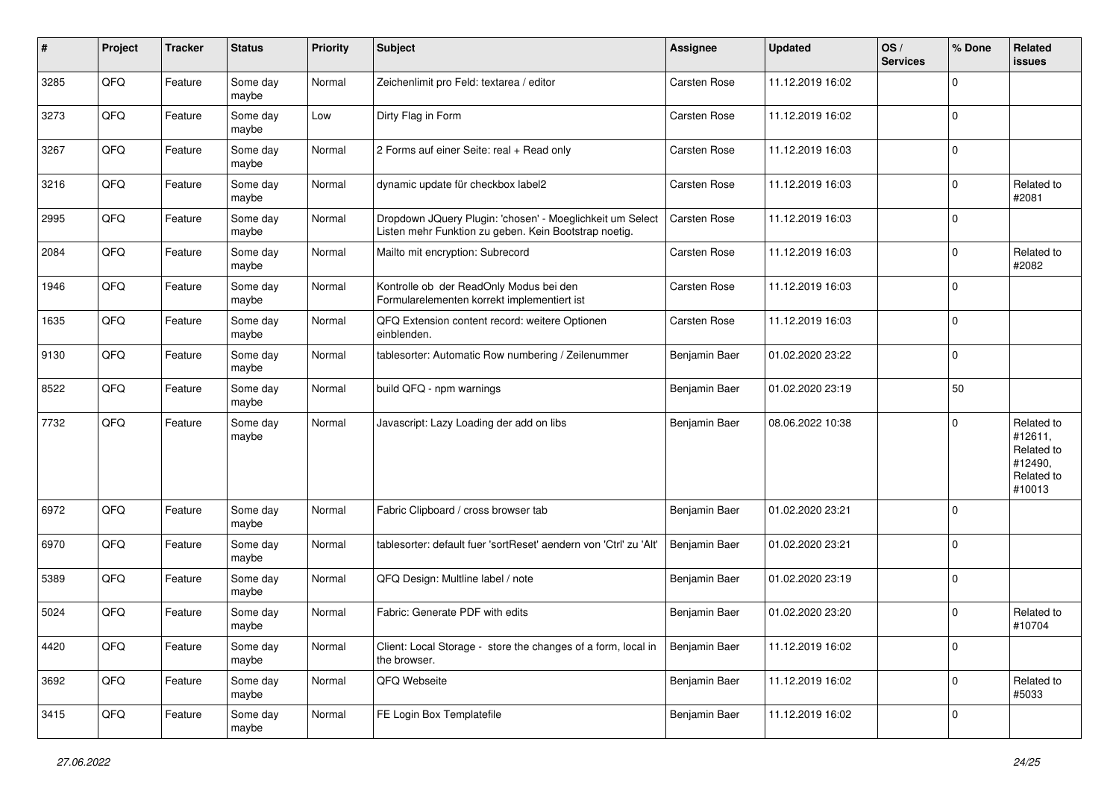| #    | Project | <b>Tracker</b> | <b>Status</b>     | <b>Priority</b> | <b>Subject</b>                                                                                                     | <b>Assignee</b>     | <b>Updated</b>   | OS/<br><b>Services</b> | % Done      | Related<br>issues                                                      |
|------|---------|----------------|-------------------|-----------------|--------------------------------------------------------------------------------------------------------------------|---------------------|------------------|------------------------|-------------|------------------------------------------------------------------------|
| 3285 | QFQ     | Feature        | Some day<br>maybe | Normal          | Zeichenlimit pro Feld: textarea / editor                                                                           | <b>Carsten Rose</b> | 11.12.2019 16:02 |                        | $\Omega$    |                                                                        |
| 3273 | QFQ     | Feature        | Some day<br>maybe | Low             | Dirty Flag in Form                                                                                                 | Carsten Rose        | 11.12.2019 16:02 |                        | $\mathbf 0$ |                                                                        |
| 3267 | QFQ     | Feature        | Some day<br>maybe | Normal          | 2 Forms auf einer Seite: real + Read only                                                                          | Carsten Rose        | 11.12.2019 16:03 |                        | $\Omega$    |                                                                        |
| 3216 | QFQ     | Feature        | Some day<br>maybe | Normal          | dynamic update für checkbox label2                                                                                 | <b>Carsten Rose</b> | 11.12.2019 16:03 |                        | 0           | Related to<br>#2081                                                    |
| 2995 | QFQ     | Feature        | Some day<br>maybe | Normal          | Dropdown JQuery Plugin: 'chosen' - Moeglichkeit um Select<br>Listen mehr Funktion zu geben. Kein Bootstrap noetig. | Carsten Rose        | 11.12.2019 16:03 |                        | $\Omega$    |                                                                        |
| 2084 | QFQ     | Feature        | Some day<br>maybe | Normal          | Mailto mit encryption: Subrecord                                                                                   | <b>Carsten Rose</b> | 11.12.2019 16:03 |                        | $\mathbf 0$ | Related to<br>#2082                                                    |
| 1946 | QFQ     | Feature        | Some day<br>maybe | Normal          | Kontrolle ob der ReadOnly Modus bei den<br>Formularelementen korrekt implementiert ist                             | <b>Carsten Rose</b> | 11.12.2019 16:03 |                        | $\Omega$    |                                                                        |
| 1635 | QFQ     | Feature        | Some day<br>maybe | Normal          | QFQ Extension content record: weitere Optionen<br>einblenden.                                                      | Carsten Rose        | 11.12.2019 16:03 |                        | $\mathbf 0$ |                                                                        |
| 9130 | QFQ     | Feature        | Some day<br>maybe | Normal          | tablesorter: Automatic Row numbering / Zeilenummer                                                                 | Benjamin Baer       | 01.02.2020 23:22 |                        | $\mathbf 0$ |                                                                        |
| 8522 | QFQ     | Feature        | Some day<br>maybe | Normal          | build QFQ - npm warnings                                                                                           | Benjamin Baer       | 01.02.2020 23:19 |                        | 50          |                                                                        |
| 7732 | QFQ     | Feature        | Some day<br>maybe | Normal          | Javascript: Lazy Loading der add on libs                                                                           | Benjamin Baer       | 08.06.2022 10:38 |                        | $\mathbf 0$ | Related to<br>#12611,<br>Related to<br>#12490,<br>Related to<br>#10013 |
| 6972 | QFQ     | Feature        | Some day<br>maybe | Normal          | Fabric Clipboard / cross browser tab                                                                               | Benjamin Baer       | 01.02.2020 23:21 |                        | $\mathbf 0$ |                                                                        |
| 6970 | QFQ     | Feature        | Some day<br>maybe | Normal          | tablesorter: default fuer 'sortReset' aendern von 'Ctrl' zu 'Alt'                                                  | Benjamin Baer       | 01.02.2020 23:21 |                        | $\mathbf 0$ |                                                                        |
| 5389 | QFQ     | Feature        | Some day<br>maybe | Normal          | QFQ Design: Multline label / note                                                                                  | Benjamin Baer       | 01.02.2020 23:19 |                        | $\mathbf 0$ |                                                                        |
| 5024 | QFQ     | Feature        | Some day<br>maybe | Normal          | Fabric: Generate PDF with edits                                                                                    | Benjamin Baer       | 01.02.2020 23:20 |                        | $\Omega$    | Related to<br>#10704                                                   |
| 4420 | QFG     | Feature        | Some day<br>maybe | Normal          | Client: Local Storage - store the changes of a form, local in<br>the browser.                                      | Benjamin Baer       | 11.12.2019 16:02 |                        | $\mathbf 0$ |                                                                        |
| 3692 | QFG     | Feature        | Some day<br>maybe | Normal          | QFQ Webseite                                                                                                       | Benjamin Baer       | 11.12.2019 16:02 |                        | $\mathbf 0$ | Related to<br>#5033                                                    |
| 3415 | QFQ     | Feature        | Some day<br>maybe | Normal          | FE Login Box Templatefile                                                                                          | Benjamin Baer       | 11.12.2019 16:02 |                        | $\mathbf 0$ |                                                                        |